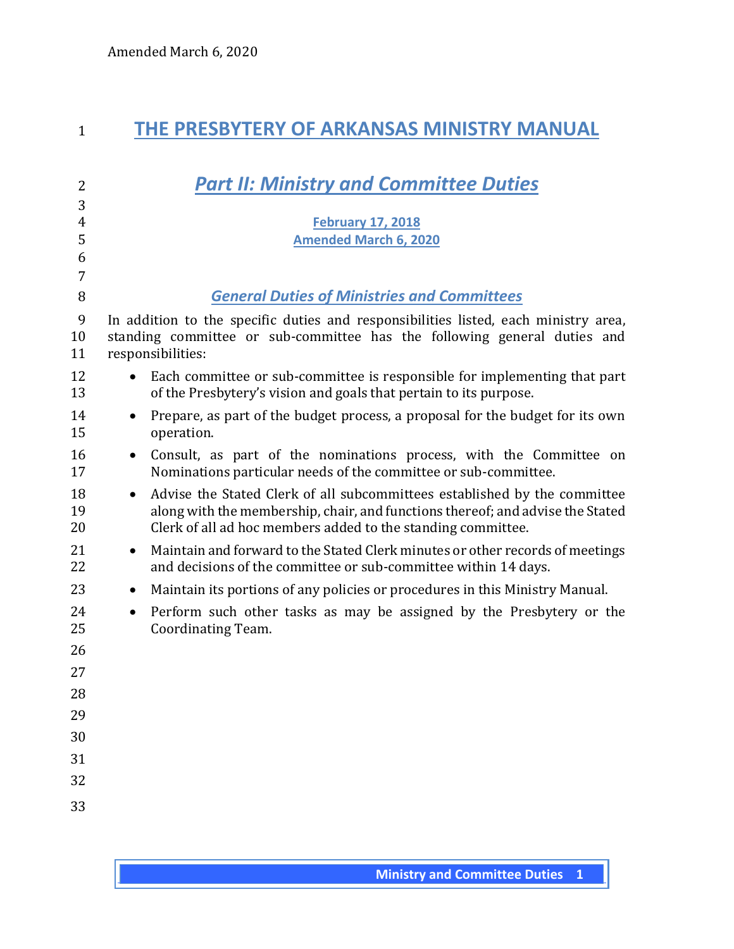## **THE PRESBYTERY OF ARKANSAS MINISTRY MANUAL**

| $\overline{2}$ | <b>Part II: Ministry and Committee Duties</b>                                                                                                                                                                                            |
|----------------|------------------------------------------------------------------------------------------------------------------------------------------------------------------------------------------------------------------------------------------|
| 3              |                                                                                                                                                                                                                                          |
| $\overline{4}$ | <b>February 17, 2018</b>                                                                                                                                                                                                                 |
| 5<br>6         | <b>Amended March 6, 2020</b>                                                                                                                                                                                                             |
| 7              |                                                                                                                                                                                                                                          |
| 8              | <b>General Duties of Ministries and Committees</b>                                                                                                                                                                                       |
| 9<br>10<br>11  | In addition to the specific duties and responsibilities listed, each ministry area,<br>standing committee or sub-committee has the following general duties and<br>responsibilities:                                                     |
| 12<br>13       | Each committee or sub-committee is responsible for implementing that part<br>$\bullet$<br>of the Presbytery's vision and goals that pertain to its purpose.                                                                              |
| 14<br>15       | Prepare, as part of the budget process, a proposal for the budget for its own<br>$\bullet$<br>operation.                                                                                                                                 |
| 16<br>17       | Consult, as part of the nominations process, with the Committee on<br>$\bullet$<br>Nominations particular needs of the committee or sub-committee.                                                                                       |
| 18<br>19<br>20 | Advise the Stated Clerk of all subcommittees established by the committee<br>$\bullet$<br>along with the membership, chair, and functions thereof; and advise the Stated<br>Clerk of all ad hoc members added to the standing committee. |
| 21<br>22       | Maintain and forward to the Stated Clerk minutes or other records of meetings<br>$\bullet$<br>and decisions of the committee or sub-committee within 14 days.                                                                            |
| 23             | Maintain its portions of any policies or procedures in this Ministry Manual.<br>$\bullet$                                                                                                                                                |
| 24<br>25       | Perform such other tasks as may be assigned by the Presbytery or the<br>$\bullet$<br>Coordinating Team.                                                                                                                                  |
| 26             |                                                                                                                                                                                                                                          |
| 27             |                                                                                                                                                                                                                                          |
| 28             |                                                                                                                                                                                                                                          |
| 29             |                                                                                                                                                                                                                                          |
| 30             |                                                                                                                                                                                                                                          |
| 31             |                                                                                                                                                                                                                                          |
| 32             |                                                                                                                                                                                                                                          |
| 33             |                                                                                                                                                                                                                                          |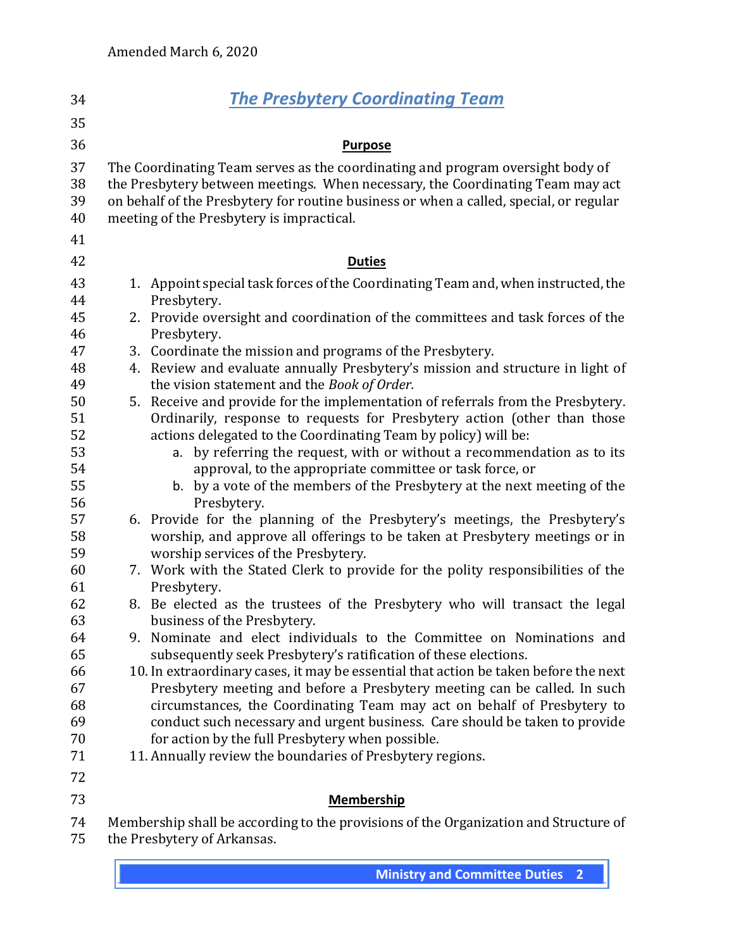| 34                   |    | <b>The Presbytery Coordinating Team</b>                                                                                                                                                                                                                                                                 |
|----------------------|----|---------------------------------------------------------------------------------------------------------------------------------------------------------------------------------------------------------------------------------------------------------------------------------------------------------|
| 35                   |    |                                                                                                                                                                                                                                                                                                         |
| 36                   |    | <b>Purpose</b>                                                                                                                                                                                                                                                                                          |
| 37<br>38<br>39<br>40 |    | The Coordinating Team serves as the coordinating and program oversight body of<br>the Presbytery between meetings. When necessary, the Coordinating Team may act<br>on behalf of the Presbytery for routine business or when a called, special, or regular<br>meeting of the Presbytery is impractical. |
| 41                   |    |                                                                                                                                                                                                                                                                                                         |
| 42                   |    | <b>Duties</b>                                                                                                                                                                                                                                                                                           |
| 43<br>44             |    | 1. Appoint special task forces of the Coordinating Team and, when instructed, the<br>Presbytery.                                                                                                                                                                                                        |
| 45<br>46             |    | 2. Provide oversight and coordination of the committees and task forces of the<br>Presbytery.                                                                                                                                                                                                           |
| 47                   |    | 3. Coordinate the mission and programs of the Presbytery.                                                                                                                                                                                                                                               |
| 48<br>49             |    | 4. Review and evaluate annually Presbytery's mission and structure in light of<br>the vision statement and the Book of Order.                                                                                                                                                                           |
| 50                   |    | 5. Receive and provide for the implementation of referrals from the Presbytery.                                                                                                                                                                                                                         |
| 51<br>52             |    | Ordinarily, response to requests for Presbytery action (other than those<br>actions delegated to the Coordinating Team by policy) will be:                                                                                                                                                              |
| 53                   |    | a. by referring the request, with or without a recommendation as to its                                                                                                                                                                                                                                 |
| 54                   |    | approval, to the appropriate committee or task force, or                                                                                                                                                                                                                                                |
| 55                   |    | b. by a vote of the members of the Presbytery at the next meeting of the                                                                                                                                                                                                                                |
| 56                   |    | Presbytery.                                                                                                                                                                                                                                                                                             |
| 57                   |    | 6. Provide for the planning of the Presbytery's meetings, the Presbytery's                                                                                                                                                                                                                              |
| 58                   |    | worship, and approve all offerings to be taken at Presbytery meetings or in                                                                                                                                                                                                                             |
| 59                   |    | worship services of the Presbytery.                                                                                                                                                                                                                                                                     |
| 60                   |    | 7. Work with the Stated Clerk to provide for the polity responsibilities of the                                                                                                                                                                                                                         |
| 61                   |    | Presbytery.                                                                                                                                                                                                                                                                                             |
| 62<br>63             |    | 8. Be elected as the trustees of the Presbytery who will transact the legal<br>business of the Presbytery.                                                                                                                                                                                              |
| 64                   | 9. | Nominate and elect individuals to the Committee on Nominations and                                                                                                                                                                                                                                      |
| 65                   |    | subsequently seek Presbytery's ratification of these elections.                                                                                                                                                                                                                                         |
| 66                   |    | 10. In extraordinary cases, it may be essential that action be taken before the next                                                                                                                                                                                                                    |
| 67                   |    | Presbytery meeting and before a Presbytery meeting can be called. In such                                                                                                                                                                                                                               |
| 68                   |    | circumstances, the Coordinating Team may act on behalf of Presbytery to                                                                                                                                                                                                                                 |
| 69                   |    | conduct such necessary and urgent business. Care should be taken to provide                                                                                                                                                                                                                             |
| 70                   |    | for action by the full Presbytery when possible.                                                                                                                                                                                                                                                        |
| 71                   |    | 11. Annually review the boundaries of Presbytery regions.                                                                                                                                                                                                                                               |
| 72                   |    |                                                                                                                                                                                                                                                                                                         |
| 73                   |    | <b>Membership</b>                                                                                                                                                                                                                                                                                       |
| 74                   |    | Membership shall be according to the provisions of the Organization and Structure of                                                                                                                                                                                                                    |
| 75                   |    | the Presbytery of Arkansas.                                                                                                                                                                                                                                                                             |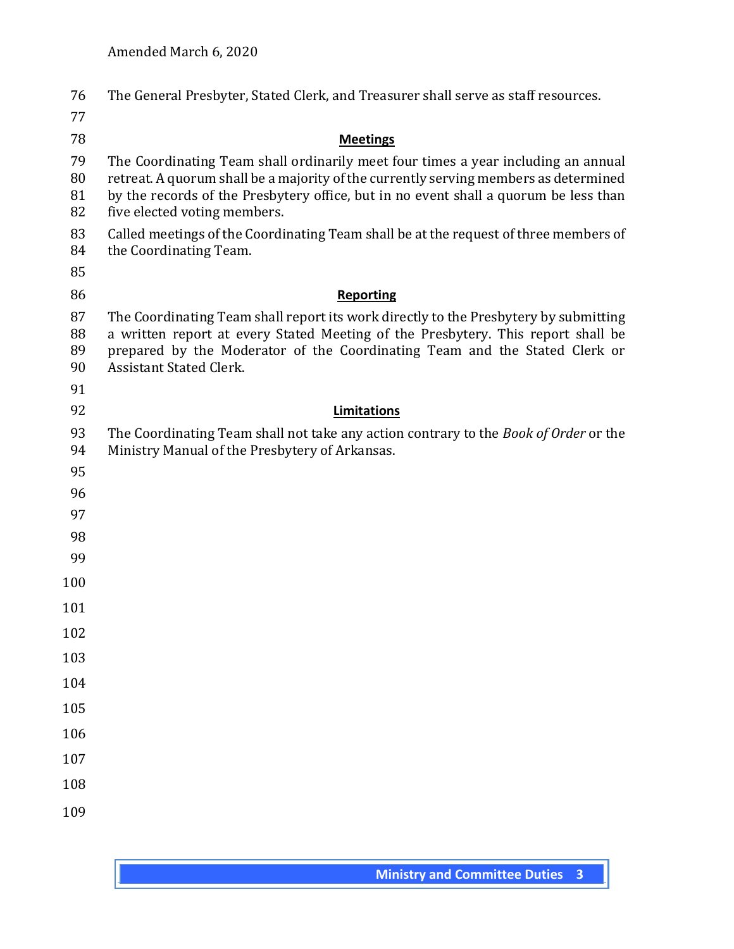| 76                   | The General Presbyter, Stated Clerk, and Treasurer shall serve as staff resources.                                                                                                                                                                                                                |
|----------------------|---------------------------------------------------------------------------------------------------------------------------------------------------------------------------------------------------------------------------------------------------------------------------------------------------|
| 77                   |                                                                                                                                                                                                                                                                                                   |
| 78                   | <b>Meetings</b>                                                                                                                                                                                                                                                                                   |
| 79<br>80<br>81<br>82 | The Coordinating Team shall ordinarily meet four times a year including an annual<br>retreat. A quorum shall be a majority of the currently serving members as determined<br>by the records of the Presbytery office, but in no event shall a quorum be less than<br>five elected voting members. |
| 83<br>84             | Called meetings of the Coordinating Team shall be at the request of three members of<br>the Coordinating Team.                                                                                                                                                                                    |
| 85                   |                                                                                                                                                                                                                                                                                                   |
| 86                   | <b>Reporting</b>                                                                                                                                                                                                                                                                                  |
| 87<br>88<br>89<br>90 | The Coordinating Team shall report its work directly to the Presbytery by submitting<br>a written report at every Stated Meeting of the Presbytery. This report shall be<br>prepared by the Moderator of the Coordinating Team and the Stated Clerk or<br><b>Assistant Stated Clerk.</b>          |
| 91                   |                                                                                                                                                                                                                                                                                                   |
| 92                   | Limitations                                                                                                                                                                                                                                                                                       |
| 93<br>94             | The Coordinating Team shall not take any action contrary to the Book of Order or the<br>Ministry Manual of the Presbytery of Arkansas.                                                                                                                                                            |
| 95                   |                                                                                                                                                                                                                                                                                                   |
| 96                   |                                                                                                                                                                                                                                                                                                   |
| 97                   |                                                                                                                                                                                                                                                                                                   |
| 98                   |                                                                                                                                                                                                                                                                                                   |
| 99                   |                                                                                                                                                                                                                                                                                                   |
| 100                  |                                                                                                                                                                                                                                                                                                   |
| 101                  |                                                                                                                                                                                                                                                                                                   |
| 102                  |                                                                                                                                                                                                                                                                                                   |
| 103                  |                                                                                                                                                                                                                                                                                                   |
| 104                  |                                                                                                                                                                                                                                                                                                   |
| 105                  |                                                                                                                                                                                                                                                                                                   |
| 106                  |                                                                                                                                                                                                                                                                                                   |
| 107                  |                                                                                                                                                                                                                                                                                                   |
| 108                  |                                                                                                                                                                                                                                                                                                   |
| 109                  |                                                                                                                                                                                                                                                                                                   |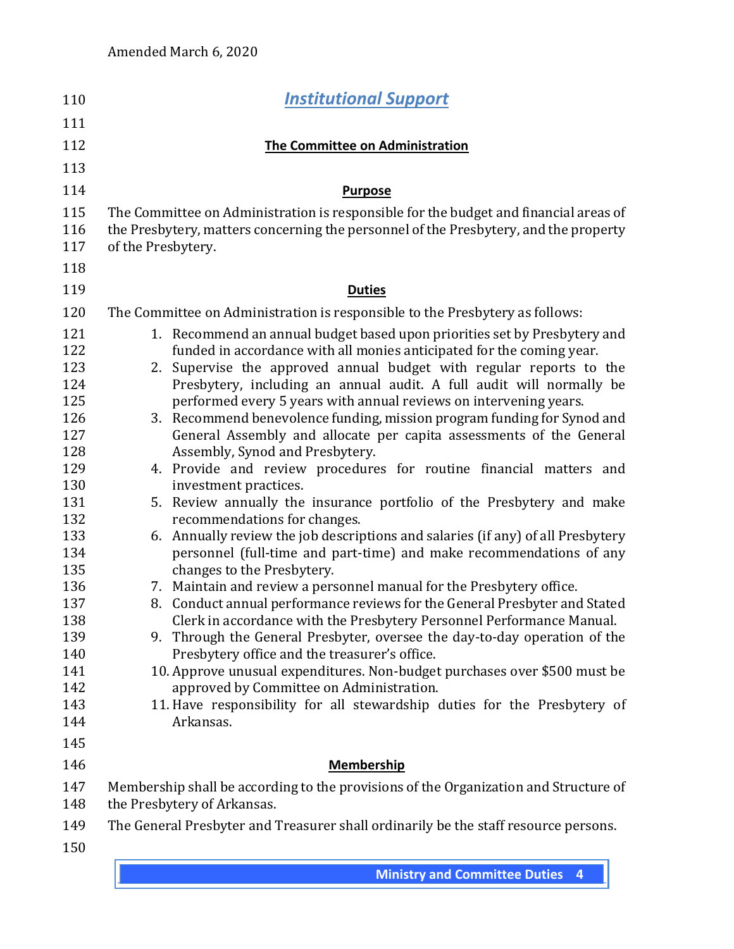| <b>Institutional Support</b>                                                                                         |
|----------------------------------------------------------------------------------------------------------------------|
|                                                                                                                      |
| <b>The Committee on Administration</b>                                                                               |
|                                                                                                                      |
|                                                                                                                      |
| <b>Purpose</b>                                                                                                       |
| The Committee on Administration is responsible for the budget and financial areas of                                 |
| the Presbytery, matters concerning the personnel of the Presbytery, and the property<br>of the Presbytery.           |
|                                                                                                                      |
|                                                                                                                      |
| <b>Duties</b>                                                                                                        |
| The Committee on Administration is responsible to the Presbytery as follows:                                         |
| 1. Recommend an annual budget based upon priorities set by Presbytery and                                            |
| funded in accordance with all monies anticipated for the coming year.                                                |
| Supervise the approved annual budget with regular reports to the<br>2.                                               |
| Presbytery, including an annual audit. A full audit will normally be                                                 |
| performed every 5 years with annual reviews on intervening years.                                                    |
| 3. Recommend benevolence funding, mission program funding for Synod and                                              |
| General Assembly and allocate per capita assessments of the General                                                  |
| Assembly, Synod and Presbytery.                                                                                      |
| 4. Provide and review procedures for routine financial matters and<br>investment practices.                          |
| 5. Review annually the insurance portfolio of the Presbytery and make                                                |
| recommendations for changes.                                                                                         |
| 6. Annually review the job descriptions and salaries (if any) of all Presbytery                                      |
| personnel (full-time and part-time) and make recommendations of any                                                  |
| changes to the Presbytery.                                                                                           |
| 7. Maintain and review a personnel manual for the Presbytery office.                                                 |
| 8. Conduct annual performance reviews for the General Presbyter and Stated                                           |
| Clerk in accordance with the Presbytery Personnel Performance Manual.                                                |
| 9. Through the General Presbyter, oversee the day-to-day operation of the                                            |
| Presbytery office and the treasurer's office.                                                                        |
| 10. Approve unusual expenditures. Non-budget purchases over \$500 must be                                            |
| approved by Committee on Administration.<br>11. Have responsibility for all stewardship duties for the Presbytery of |
| Arkansas.                                                                                                            |
|                                                                                                                      |
|                                                                                                                      |
| <b>Membership</b>                                                                                                    |
| Membership shall be according to the provisions of the Organization and Structure of<br>the Presbytery of Arkansas.  |
| The General Presbyter and Treasurer shall ordinarily be the staff resource persons.                                  |
|                                                                                                                      |
|                                                                                                                      |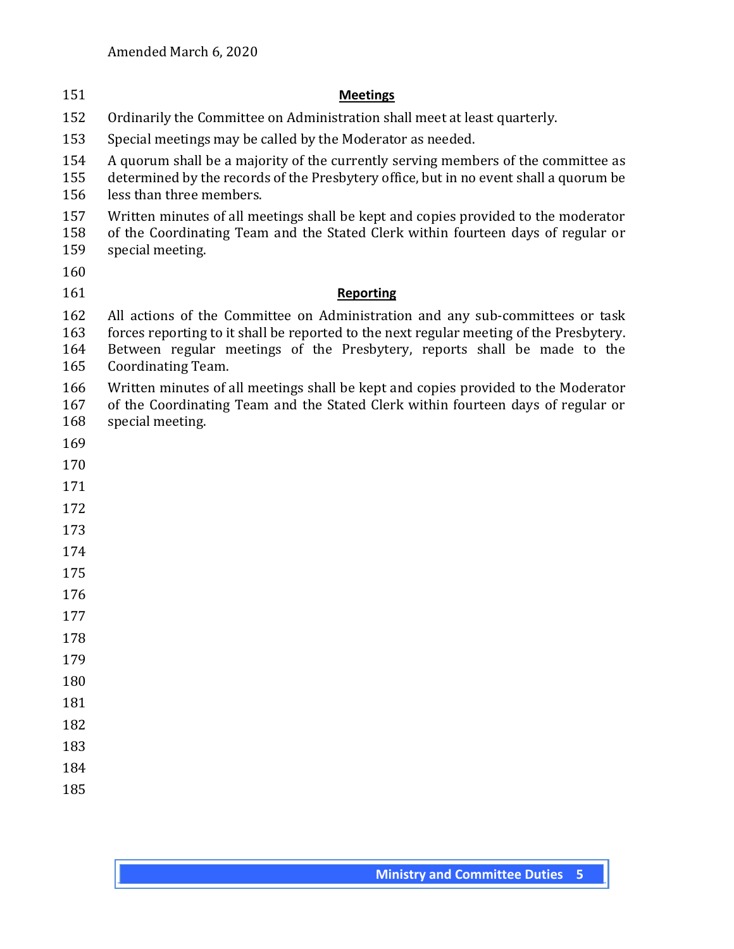| 151                      | <b>Meetings</b>                                                                                                                                                                                                                                                            |
|--------------------------|----------------------------------------------------------------------------------------------------------------------------------------------------------------------------------------------------------------------------------------------------------------------------|
| 152                      | Ordinarily the Committee on Administration shall meet at least quarterly.                                                                                                                                                                                                  |
| 153                      | Special meetings may be called by the Moderator as needed.                                                                                                                                                                                                                 |
| 154<br>155<br>156        | A quorum shall be a majority of the currently serving members of the committee as<br>determined by the records of the Presbytery office, but in no event shall a quorum be<br>less than three members.                                                                     |
| 157<br>158<br>159        | Written minutes of all meetings shall be kept and copies provided to the moderator<br>of the Coordinating Team and the Stated Clerk within fourteen days of regular or<br>special meeting.                                                                                 |
| 160                      |                                                                                                                                                                                                                                                                            |
| 161                      | <b>Reporting</b>                                                                                                                                                                                                                                                           |
| 162<br>163<br>164<br>165 | All actions of the Committee on Administration and any sub-committees or task<br>forces reporting to it shall be reported to the next regular meeting of the Presbytery.<br>Between regular meetings of the Presbytery, reports shall be made to the<br>Coordinating Team. |
| 166<br>167<br>168        | Written minutes of all meetings shall be kept and copies provided to the Moderator<br>of the Coordinating Team and the Stated Clerk within fourteen days of regular or<br>special meeting.                                                                                 |
| 169                      |                                                                                                                                                                                                                                                                            |
| 170                      |                                                                                                                                                                                                                                                                            |
| 171                      |                                                                                                                                                                                                                                                                            |
| 172                      |                                                                                                                                                                                                                                                                            |
| 173                      |                                                                                                                                                                                                                                                                            |
| 174                      |                                                                                                                                                                                                                                                                            |
| 175                      |                                                                                                                                                                                                                                                                            |
| 176                      |                                                                                                                                                                                                                                                                            |
| 177                      |                                                                                                                                                                                                                                                                            |
| 178                      |                                                                                                                                                                                                                                                                            |
| 179                      |                                                                                                                                                                                                                                                                            |
| 180                      |                                                                                                                                                                                                                                                                            |
| 181<br>182               |                                                                                                                                                                                                                                                                            |
| 183                      |                                                                                                                                                                                                                                                                            |
| 184                      |                                                                                                                                                                                                                                                                            |
| 185                      |                                                                                                                                                                                                                                                                            |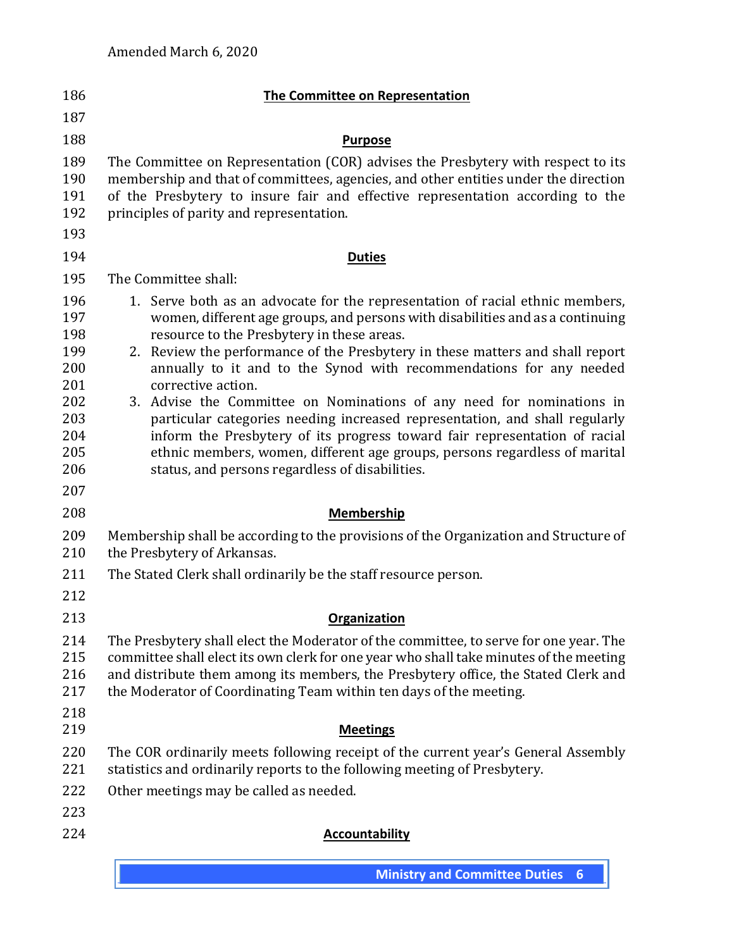| 186                                                                | <b>The Committee on Representation</b>                                                                                                                                                                                                                                                                                                                                                                                                                                                                                                                                                                                                                                                                          |
|--------------------------------------------------------------------|-----------------------------------------------------------------------------------------------------------------------------------------------------------------------------------------------------------------------------------------------------------------------------------------------------------------------------------------------------------------------------------------------------------------------------------------------------------------------------------------------------------------------------------------------------------------------------------------------------------------------------------------------------------------------------------------------------------------|
| 187                                                                |                                                                                                                                                                                                                                                                                                                                                                                                                                                                                                                                                                                                                                                                                                                 |
| 188                                                                | <b>Purpose</b>                                                                                                                                                                                                                                                                                                                                                                                                                                                                                                                                                                                                                                                                                                  |
| 189<br>190<br>191<br>192<br>193                                    | The Committee on Representation (COR) advises the Presbytery with respect to its<br>membership and that of committees, agencies, and other entities under the direction<br>of the Presbytery to insure fair and effective representation according to the<br>principles of parity and representation.                                                                                                                                                                                                                                                                                                                                                                                                           |
| 194                                                                | <b>Duties</b>                                                                                                                                                                                                                                                                                                                                                                                                                                                                                                                                                                                                                                                                                                   |
| 195                                                                | The Committee shall:                                                                                                                                                                                                                                                                                                                                                                                                                                                                                                                                                                                                                                                                                            |
| 196<br>197<br>198<br>199<br>200<br>201<br>202<br>203<br>204<br>205 | 1. Serve both as an advocate for the representation of racial ethnic members,<br>women, different age groups, and persons with disabilities and as a continuing<br>resource to the Presbytery in these areas.<br>2. Review the performance of the Presbytery in these matters and shall report<br>annually to it and to the Synod with recommendations for any needed<br>corrective action.<br>3. Advise the Committee on Nominations of any need for nominations in<br>particular categories needing increased representation, and shall regularly<br>inform the Presbytery of its progress toward fair representation of racial<br>ethnic members, women, different age groups, persons regardless of marital |
| 206<br>207                                                         | status, and persons regardless of disabilities.                                                                                                                                                                                                                                                                                                                                                                                                                                                                                                                                                                                                                                                                 |
| 208                                                                | <b>Membership</b>                                                                                                                                                                                                                                                                                                                                                                                                                                                                                                                                                                                                                                                                                               |
| 209<br>210                                                         | Membership shall be according to the provisions of the Organization and Structure of<br>the Presbytery of Arkansas.                                                                                                                                                                                                                                                                                                                                                                                                                                                                                                                                                                                             |
| 211<br>212                                                         | The Stated Clerk shall ordinarily be the staff resource person.                                                                                                                                                                                                                                                                                                                                                                                                                                                                                                                                                                                                                                                 |
| 213                                                                | Organization                                                                                                                                                                                                                                                                                                                                                                                                                                                                                                                                                                                                                                                                                                    |
| 214<br>215<br>216<br>217<br>218                                    | The Presbytery shall elect the Moderator of the committee, to serve for one year. The<br>committee shall elect its own clerk for one year who shall take minutes of the meeting<br>and distribute them among its members, the Presbytery office, the Stated Clerk and<br>the Moderator of Coordinating Team within ten days of the meeting.                                                                                                                                                                                                                                                                                                                                                                     |
| 219                                                                | <b>Meetings</b>                                                                                                                                                                                                                                                                                                                                                                                                                                                                                                                                                                                                                                                                                                 |
| 220<br>221                                                         | The COR ordinarily meets following receipt of the current year's General Assembly<br>statistics and ordinarily reports to the following meeting of Presbytery.                                                                                                                                                                                                                                                                                                                                                                                                                                                                                                                                                  |
| 222                                                                | Other meetings may be called as needed.                                                                                                                                                                                                                                                                                                                                                                                                                                                                                                                                                                                                                                                                         |
| 223<br>224                                                         | <b>Accountability</b>                                                                                                                                                                                                                                                                                                                                                                                                                                                                                                                                                                                                                                                                                           |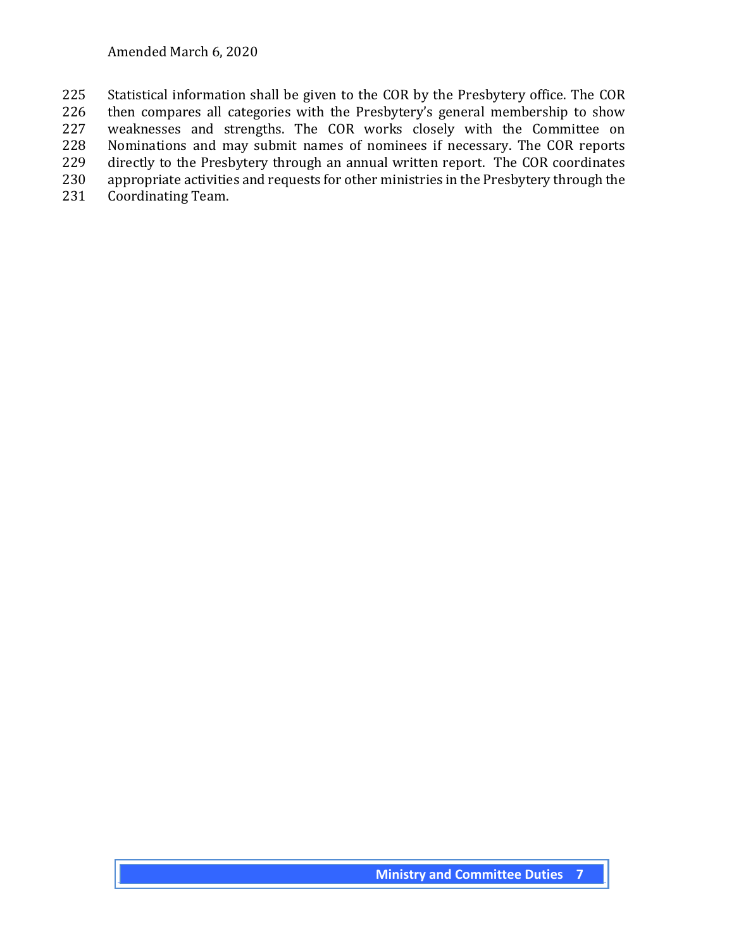Statistical information shall be given to the COR by the Presbytery office. The COR then compares all categories with the Presbytery's general membership to show weaknesses and strengths. The COR works closely with the Committee on Nominations and may submit names of nominees if necessary. The COR reports directly to the Presbytery through an annual written report. The COR coordinates appropriate activities and requests for other ministries in the Presbytery through the Coordinating Team.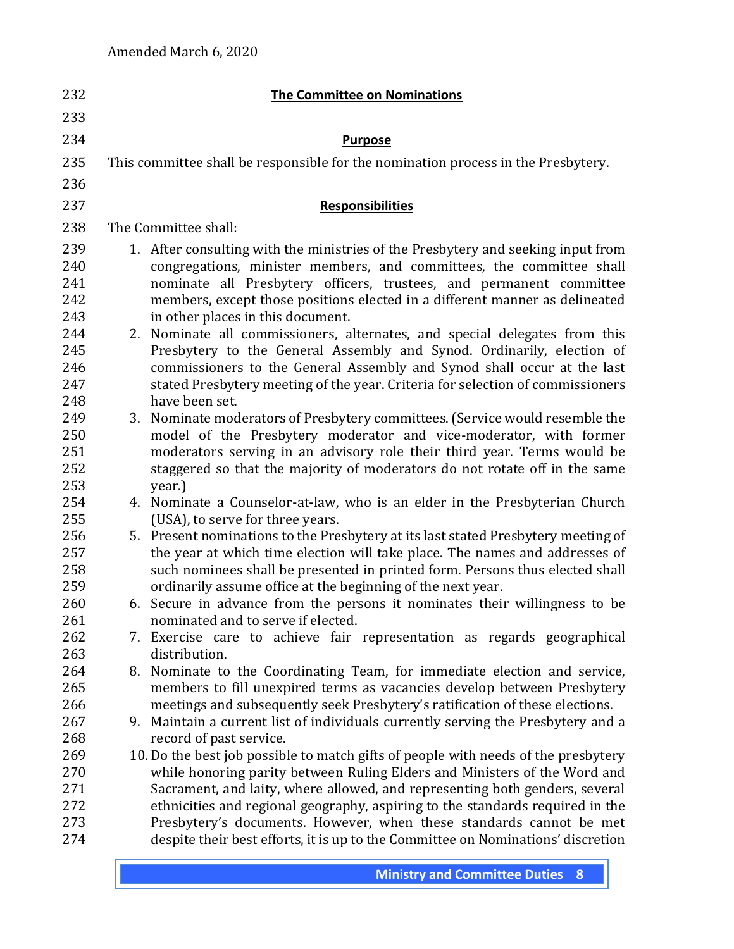| 232                                    | <b>The Committee on Nominations</b>                                                                                                                                                                                                                                                                                                                                     |
|----------------------------------------|-------------------------------------------------------------------------------------------------------------------------------------------------------------------------------------------------------------------------------------------------------------------------------------------------------------------------------------------------------------------------|
| 233                                    |                                                                                                                                                                                                                                                                                                                                                                         |
| 234                                    | <b>Purpose</b>                                                                                                                                                                                                                                                                                                                                                          |
| 235                                    | This committee shall be responsible for the nomination process in the Presbytery.                                                                                                                                                                                                                                                                                       |
| 236                                    |                                                                                                                                                                                                                                                                                                                                                                         |
| 237                                    | <b>Responsibilities</b>                                                                                                                                                                                                                                                                                                                                                 |
| 238                                    | The Committee shall:                                                                                                                                                                                                                                                                                                                                                    |
| 239<br>240<br>241<br>242               | 1. After consulting with the ministries of the Presbytery and seeking input from<br>congregations, minister members, and committees, the committee shall<br>nominate all Presbytery officers, trustees, and permanent committee<br>members, except those positions elected in a different manner as delineated                                                          |
| 243<br>244<br>245<br>246<br>247<br>248 | in other places in this document.<br>2. Nominate all commissioners, alternates, and special delegates from this<br>Presbytery to the General Assembly and Synod. Ordinarily, election of<br>commissioners to the General Assembly and Synod shall occur at the last<br>stated Presbytery meeting of the year. Criteria for selection of commissioners<br>have been set. |
| 249<br>250<br>251<br>252<br>253        | Nominate moderators of Presbytery committees. (Service would resemble the<br>3.<br>model of the Presbytery moderator and vice-moderator, with former<br>moderators serving in an advisory role their third year. Terms would be<br>staggered so that the majority of moderators do not rotate off in the same<br>year.)                                                 |
| 254                                    | 4. Nominate a Counselor-at-law, who is an elder in the Presbyterian Church                                                                                                                                                                                                                                                                                              |
| 255<br>256<br>257<br>258<br>259        | (USA), to serve for three years.<br>5. Present nominations to the Presbytery at its last stated Presbytery meeting of<br>the year at which time election will take place. The names and addresses of<br>such nominees shall be presented in printed form. Persons thus elected shall<br>ordinarily assume office at the beginning of the next year.                     |
| 260                                    | 6. Secure in advance from the persons it nominates their willingness to be                                                                                                                                                                                                                                                                                              |
| 261<br>262<br>263                      | nominated and to serve if elected.<br>7. Exercise care to achieve fair representation as regards geographical<br>distribution.                                                                                                                                                                                                                                          |
| 264<br>265                             | Nominate to the Coordinating Team, for immediate election and service,<br>8.<br>members to fill unexpired terms as vacancies develop between Presbytery                                                                                                                                                                                                                 |
| 266<br>267<br>268                      | meetings and subsequently seek Presbytery's ratification of these elections.<br>Maintain a current list of individuals currently serving the Presbytery and a<br>9.<br>record of past service.                                                                                                                                                                          |
| 269<br>270<br>271<br>272               | 10. Do the best job possible to match gifts of people with needs of the presbytery<br>while honoring parity between Ruling Elders and Ministers of the Word and<br>Sacrament, and laity, where allowed, and representing both genders, several<br>ethnicities and regional geography, aspiring to the standards required in the                                         |
| 273<br>274                             | Presbytery's documents. However, when these standards cannot be met<br>despite their best efforts, it is up to the Committee on Nominations' discretion                                                                                                                                                                                                                 |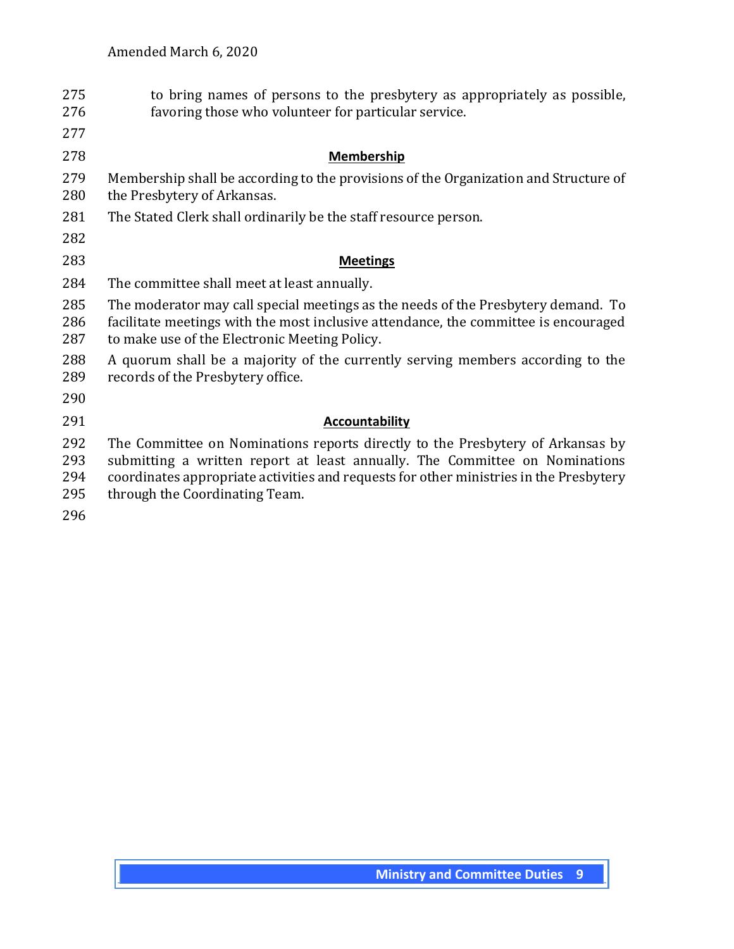| 275<br>276               | to bring names of persons to the presbytery as appropriately as possible,<br>favoring those who volunteer for particular service.                                                                                                                                                         |
|--------------------------|-------------------------------------------------------------------------------------------------------------------------------------------------------------------------------------------------------------------------------------------------------------------------------------------|
| 277                      |                                                                                                                                                                                                                                                                                           |
| 278                      | <b>Membership</b>                                                                                                                                                                                                                                                                         |
| 279<br>280               | Membership shall be according to the provisions of the Organization and Structure of<br>the Presbytery of Arkansas.                                                                                                                                                                       |
| 281                      | The Stated Clerk shall ordinarily be the staff resource person.                                                                                                                                                                                                                           |
| 282                      |                                                                                                                                                                                                                                                                                           |
| 283                      | <b>Meetings</b>                                                                                                                                                                                                                                                                           |
| 284                      | The committee shall meet at least annually.                                                                                                                                                                                                                                               |
| 285<br>286<br>287        | The moderator may call special meetings as the needs of the Presbytery demand. To<br>facilitate meetings with the most inclusive attendance, the committee is encouraged<br>to make use of the Electronic Meeting Policy.                                                                 |
| 288<br>289               | A quorum shall be a majority of the currently serving members according to the<br>records of the Presbytery office.                                                                                                                                                                       |
| 290                      |                                                                                                                                                                                                                                                                                           |
| 291                      | <b>Accountability</b>                                                                                                                                                                                                                                                                     |
| 292<br>293<br>294<br>295 | The Committee on Nominations reports directly to the Presbytery of Arkansas by<br>submitting a written report at least annually. The Committee on Nominations<br>coordinates appropriate activities and requests for other ministries in the Presbytery<br>through the Coordinating Team. |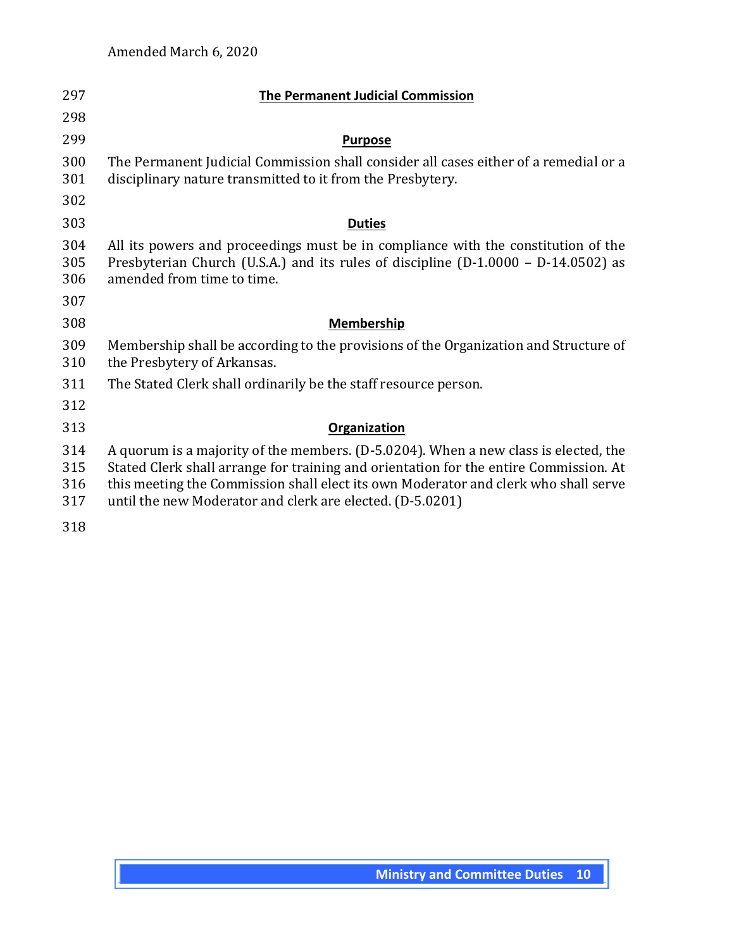| 297                      | <b>The Permanent Judicial Commission</b>                                                                                                                                                                                                                                                                                         |
|--------------------------|----------------------------------------------------------------------------------------------------------------------------------------------------------------------------------------------------------------------------------------------------------------------------------------------------------------------------------|
| 298                      |                                                                                                                                                                                                                                                                                                                                  |
| 299                      | <b>Purpose</b>                                                                                                                                                                                                                                                                                                                   |
| 300<br>301               | The Permanent Judicial Commission shall consider all cases either of a remedial or a<br>disciplinary nature transmitted to it from the Presbytery.                                                                                                                                                                               |
| 302                      |                                                                                                                                                                                                                                                                                                                                  |
| 303                      | <b>Duties</b>                                                                                                                                                                                                                                                                                                                    |
| 304<br>305<br>306        | All its powers and proceedings must be in compliance with the constitution of the<br>Presbyterian Church (U.S.A.) and its rules of discipline (D-1.0000 - D-14.0502) as<br>amended from time to time.                                                                                                                            |
| 307                      |                                                                                                                                                                                                                                                                                                                                  |
| 308                      | <b>Membership</b>                                                                                                                                                                                                                                                                                                                |
| 309<br>310               | Membership shall be according to the provisions of the Organization and Structure of<br>the Presbytery of Arkansas.                                                                                                                                                                                                              |
| 311                      | The Stated Clerk shall ordinarily be the staff resource person.                                                                                                                                                                                                                                                                  |
| 312                      |                                                                                                                                                                                                                                                                                                                                  |
| 313                      | Organization                                                                                                                                                                                                                                                                                                                     |
| 314<br>315<br>316<br>317 | A quorum is a majority of the members. (D-5.0204). When a new class is elected, the<br>Stated Clerk shall arrange for training and orientation for the entire Commission. At<br>this meeting the Commission shall elect its own Moderator and clerk who shall serve<br>until the new Moderator and clerk are elected. (D-5.0201) |
| 318                      |                                                                                                                                                                                                                                                                                                                                  |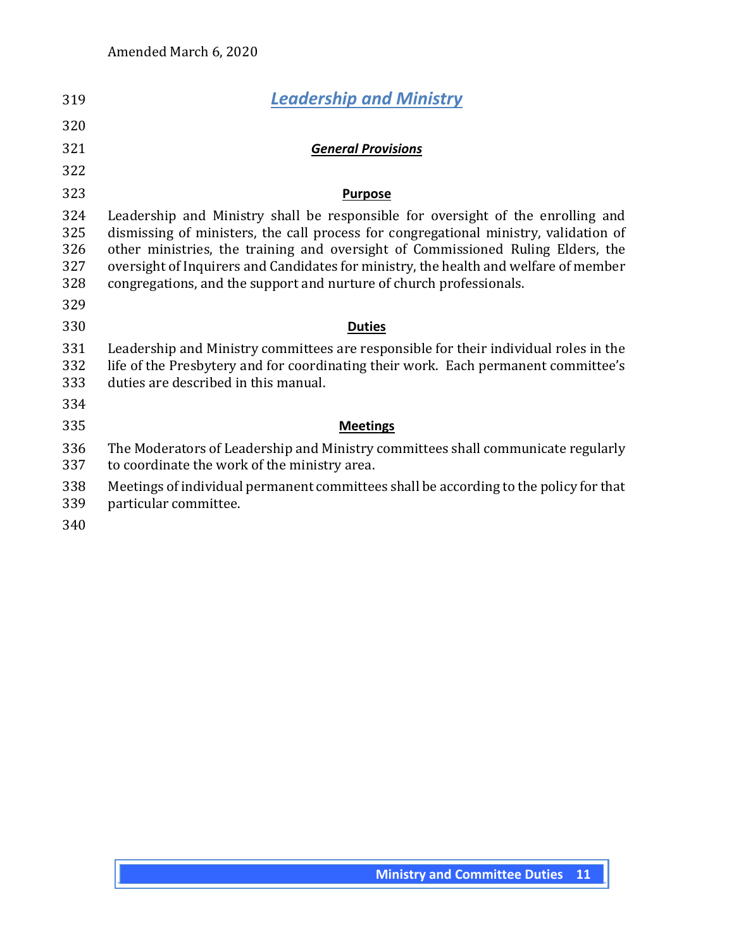| 319                             | <b>Leadership and Ministry</b>                                                                                                                                                                                                                                                                                                                                                                                            |
|---------------------------------|---------------------------------------------------------------------------------------------------------------------------------------------------------------------------------------------------------------------------------------------------------------------------------------------------------------------------------------------------------------------------------------------------------------------------|
| 320                             |                                                                                                                                                                                                                                                                                                                                                                                                                           |
| 321                             | <b>General Provisions</b>                                                                                                                                                                                                                                                                                                                                                                                                 |
| 322                             |                                                                                                                                                                                                                                                                                                                                                                                                                           |
| 323                             | <b>Purpose</b>                                                                                                                                                                                                                                                                                                                                                                                                            |
| 324<br>325<br>326<br>327<br>328 | Leadership and Ministry shall be responsible for oversight of the enrolling and<br>dismissing of ministers, the call process for congregational ministry, validation of<br>other ministries, the training and oversight of Commissioned Ruling Elders, the<br>oversight of Inquirers and Candidates for ministry, the health and welfare of member<br>congregations, and the support and nurture of church professionals. |
| 329                             |                                                                                                                                                                                                                                                                                                                                                                                                                           |
| 330                             | <b>Duties</b>                                                                                                                                                                                                                                                                                                                                                                                                             |
| 331<br>332<br>333               | Leadership and Ministry committees are responsible for their individual roles in the<br>life of the Presbytery and for coordinating their work. Each permanent committee's<br>duties are described in this manual.                                                                                                                                                                                                        |
| 334                             |                                                                                                                                                                                                                                                                                                                                                                                                                           |
| 335                             | <b>Meetings</b>                                                                                                                                                                                                                                                                                                                                                                                                           |
| 336<br>337                      | The Moderators of Leadership and Ministry committees shall communicate regularly<br>to coordinate the work of the ministry area.                                                                                                                                                                                                                                                                                          |
| 338<br>339<br>340               | Meetings of individual permanent committees shall be according to the policy for that<br>particular committee.                                                                                                                                                                                                                                                                                                            |
|                                 |                                                                                                                                                                                                                                                                                                                                                                                                                           |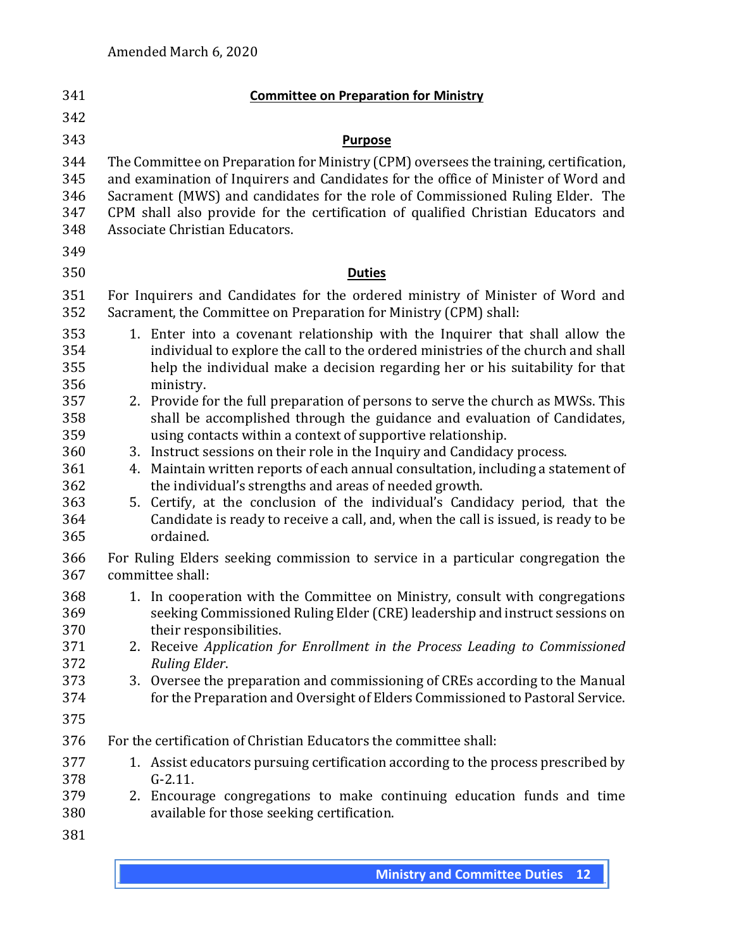| 341                                    |          | <b>Committee on Preparation for Ministry</b>                                                                                                                                                                                                                                                                                                                                        |
|----------------------------------------|----------|-------------------------------------------------------------------------------------------------------------------------------------------------------------------------------------------------------------------------------------------------------------------------------------------------------------------------------------------------------------------------------------|
| 342                                    |          |                                                                                                                                                                                                                                                                                                                                                                                     |
| 343                                    |          | <b>Purpose</b>                                                                                                                                                                                                                                                                                                                                                                      |
| 344<br>345<br>346<br>347<br>348<br>349 |          | The Committee on Preparation for Ministry (CPM) oversees the training, certification,<br>and examination of Inquirers and Candidates for the office of Minister of Word and<br>Sacrament (MWS) and candidates for the role of Commissioned Ruling Elder. The<br>CPM shall also provide for the certification of qualified Christian Educators and<br>Associate Christian Educators. |
| 350                                    |          | <b>Duties</b>                                                                                                                                                                                                                                                                                                                                                                       |
| 351<br>352                             |          | For Inquirers and Candidates for the ordered ministry of Minister of Word and<br>Sacrament, the Committee on Preparation for Ministry (CPM) shall:                                                                                                                                                                                                                                  |
| 353<br>354<br>355<br>356               |          | 1. Enter into a covenant relationship with the Inquirer that shall allow the<br>individual to explore the call to the ordered ministries of the church and shall<br>help the individual make a decision regarding her or his suitability for that<br>ministry.                                                                                                                      |
| 357<br>358<br>359<br>360               | 3.       | 2. Provide for the full preparation of persons to serve the church as MWSs. This<br>shall be accomplished through the guidance and evaluation of Candidates,<br>using contacts within a context of supportive relationship.<br>Instruct sessions on their role in the Inquiry and Candidacy process.                                                                                |
| 361<br>362<br>363<br>364<br>365        | 4.<br>5. | Maintain written reports of each annual consultation, including a statement of<br>the individual's strengths and areas of needed growth.<br>Certify, at the conclusion of the individual's Candidacy period, that the<br>Candidate is ready to receive a call, and, when the call is issued, is ready to be<br>ordained.                                                            |
| 366<br>367                             |          | For Ruling Elders seeking commission to service in a particular congregation the<br>committee shall:                                                                                                                                                                                                                                                                                |
| 368<br>369<br>370                      |          | 1. In cooperation with the Committee on Ministry, consult with congregations<br>seeking Commissioned Ruling Elder (CRE) leadership and instruct sessions on<br>their responsibilities.                                                                                                                                                                                              |
| 371<br>372                             | 2.       | Receive Application for Enrollment in the Process Leading to Commissioned<br>Ruling Elder.                                                                                                                                                                                                                                                                                          |
| 373<br>374<br>375                      | 3.       | Oversee the preparation and commissioning of CREs according to the Manual<br>for the Preparation and Oversight of Elders Commissioned to Pastoral Service.                                                                                                                                                                                                                          |
| 376                                    |          | For the certification of Christian Educators the committee shall:                                                                                                                                                                                                                                                                                                                   |
| 377<br>378<br>379                      |          | 1. Assist educators pursuing certification according to the process prescribed by<br>$G-2.11.$<br>2. Encourage congregations to make continuing education funds and time                                                                                                                                                                                                            |
| 380<br>381                             |          | available for those seeking certification.                                                                                                                                                                                                                                                                                                                                          |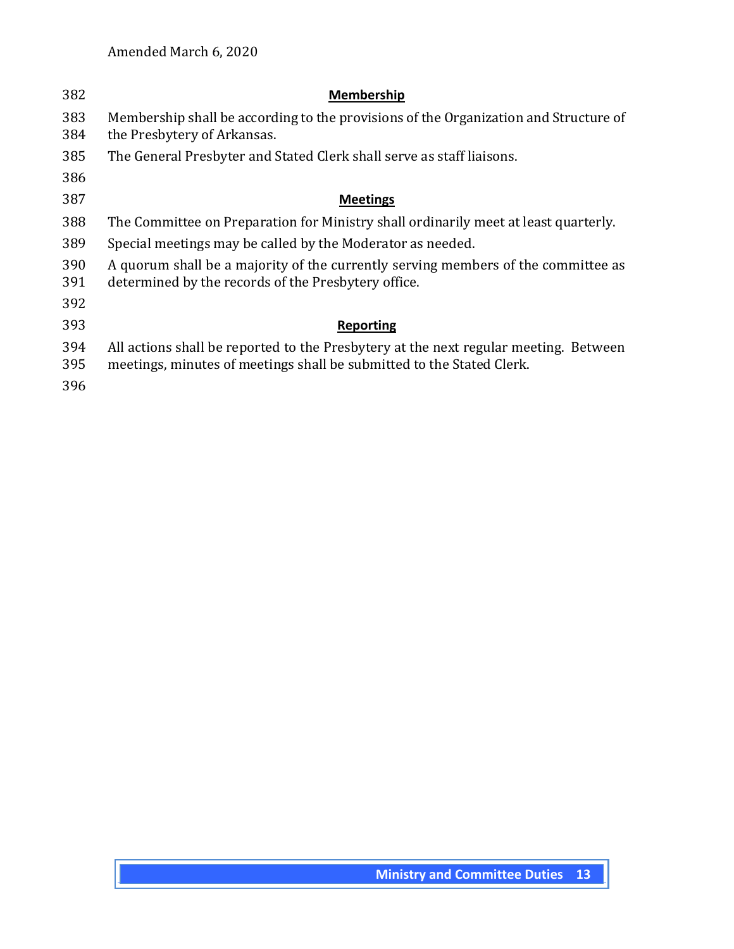| 382        | <b>Membership</b>                                                                                                                                             |
|------------|---------------------------------------------------------------------------------------------------------------------------------------------------------------|
| 383<br>384 | Membership shall be according to the provisions of the Organization and Structure of<br>the Presbytery of Arkansas.                                           |
| 385        | The General Presbyter and Stated Clerk shall serve as staff liaisons.                                                                                         |
| 386        |                                                                                                                                                               |
| 387        | <b>Meetings</b>                                                                                                                                               |
| 388        | The Committee on Preparation for Ministry shall ordinarily meet at least quarterly.                                                                           |
| 389        | Special meetings may be called by the Moderator as needed.                                                                                                    |
| 390<br>391 | A quorum shall be a majority of the currently serving members of the committee as<br>determined by the records of the Presbytery office.                      |
| 392        |                                                                                                                                                               |
| 393        | <b>Reporting</b>                                                                                                                                              |
| 394<br>395 | All actions shall be reported to the Presbytery at the next regular meeting. Between<br>meetings, minutes of meetings shall be submitted to the Stated Clerk. |
| 396        |                                                                                                                                                               |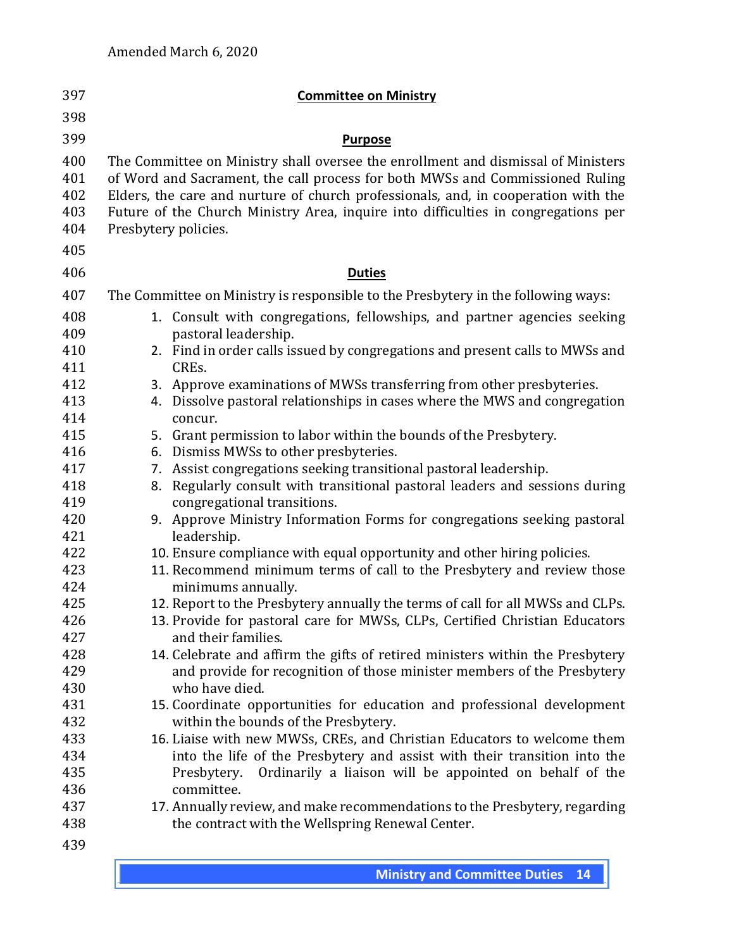| 397                                    | <b>Committee on Ministry</b>                                                                                                                                                                                                                                                                                                                                           |
|----------------------------------------|------------------------------------------------------------------------------------------------------------------------------------------------------------------------------------------------------------------------------------------------------------------------------------------------------------------------------------------------------------------------|
| 398                                    |                                                                                                                                                                                                                                                                                                                                                                        |
| 399                                    | <b>Purpose</b>                                                                                                                                                                                                                                                                                                                                                         |
| 400<br>401<br>402<br>403<br>404<br>405 | The Committee on Ministry shall oversee the enrollment and dismissal of Ministers<br>of Word and Sacrament, the call process for both MWSs and Commissioned Ruling<br>Elders, the care and nurture of church professionals, and, in cooperation with the<br>Future of the Church Ministry Area, inquire into difficulties in congregations per<br>Presbytery policies. |
| 406                                    | <b>Duties</b>                                                                                                                                                                                                                                                                                                                                                          |
| 407                                    |                                                                                                                                                                                                                                                                                                                                                                        |
|                                        | The Committee on Ministry is responsible to the Presbytery in the following ways:                                                                                                                                                                                                                                                                                      |
| 408<br>409                             | Consult with congregations, fellowships, and partner agencies seeking<br>1.<br>pastoral leadership.                                                                                                                                                                                                                                                                    |
| 410                                    | 2. Find in order calls issued by congregations and present calls to MWSs and                                                                                                                                                                                                                                                                                           |
| 411                                    | CREs.                                                                                                                                                                                                                                                                                                                                                                  |
| 412                                    | 3. Approve examinations of MWSs transferring from other presbyteries.                                                                                                                                                                                                                                                                                                  |
| 413                                    | Dissolve pastoral relationships in cases where the MWS and congregation<br>4.                                                                                                                                                                                                                                                                                          |
| 414                                    | concur.                                                                                                                                                                                                                                                                                                                                                                |
| 415                                    | Grant permission to labor within the bounds of the Presbytery.<br>5.                                                                                                                                                                                                                                                                                                   |
| 416                                    | Dismiss MWSs to other presbyteries.<br>6.                                                                                                                                                                                                                                                                                                                              |
| 417                                    | Assist congregations seeking transitional pastoral leadership.<br>7.                                                                                                                                                                                                                                                                                                   |
| 418<br>419                             | Regularly consult with transitional pastoral leaders and sessions during<br>8.                                                                                                                                                                                                                                                                                         |
| 420                                    | congregational transitions.<br>9. Approve Ministry Information Forms for congregations seeking pastoral                                                                                                                                                                                                                                                                |
| 421                                    | leadership.                                                                                                                                                                                                                                                                                                                                                            |
| 422                                    | 10. Ensure compliance with equal opportunity and other hiring policies.                                                                                                                                                                                                                                                                                                |
| 423                                    | 11. Recommend minimum terms of call to the Presbytery and review those                                                                                                                                                                                                                                                                                                 |
| 424                                    | minimums annually.                                                                                                                                                                                                                                                                                                                                                     |
| 425                                    | 12. Report to the Presbytery annually the terms of call for all MWSs and CLPs.                                                                                                                                                                                                                                                                                         |
| 426                                    | 13. Provide for pastoral care for MWSs, CLPs, Certified Christian Educators                                                                                                                                                                                                                                                                                            |
| 427                                    | and their families.                                                                                                                                                                                                                                                                                                                                                    |
| 428                                    | 14. Celebrate and affirm the gifts of retired ministers within the Presbytery                                                                                                                                                                                                                                                                                          |
| 429                                    | and provide for recognition of those minister members of the Presbytery                                                                                                                                                                                                                                                                                                |
| 430                                    | who have died.                                                                                                                                                                                                                                                                                                                                                         |
| 431                                    | 15. Coordinate opportunities for education and professional development                                                                                                                                                                                                                                                                                                |
| 432                                    | within the bounds of the Presbytery.                                                                                                                                                                                                                                                                                                                                   |
| 433<br>434                             | 16. Liaise with new MWSs, CREs, and Christian Educators to welcome them<br>into the life of the Presbytery and assist with their transition into the                                                                                                                                                                                                                   |
| 435                                    | Ordinarily a liaison will be appointed on behalf of the<br>Presbytery.                                                                                                                                                                                                                                                                                                 |
| 436                                    | committee.                                                                                                                                                                                                                                                                                                                                                             |
| 437                                    | 17. Annually review, and make recommendations to the Presbytery, regarding                                                                                                                                                                                                                                                                                             |
| 438                                    | the contract with the Wellspring Renewal Center.                                                                                                                                                                                                                                                                                                                       |
| 439                                    |                                                                                                                                                                                                                                                                                                                                                                        |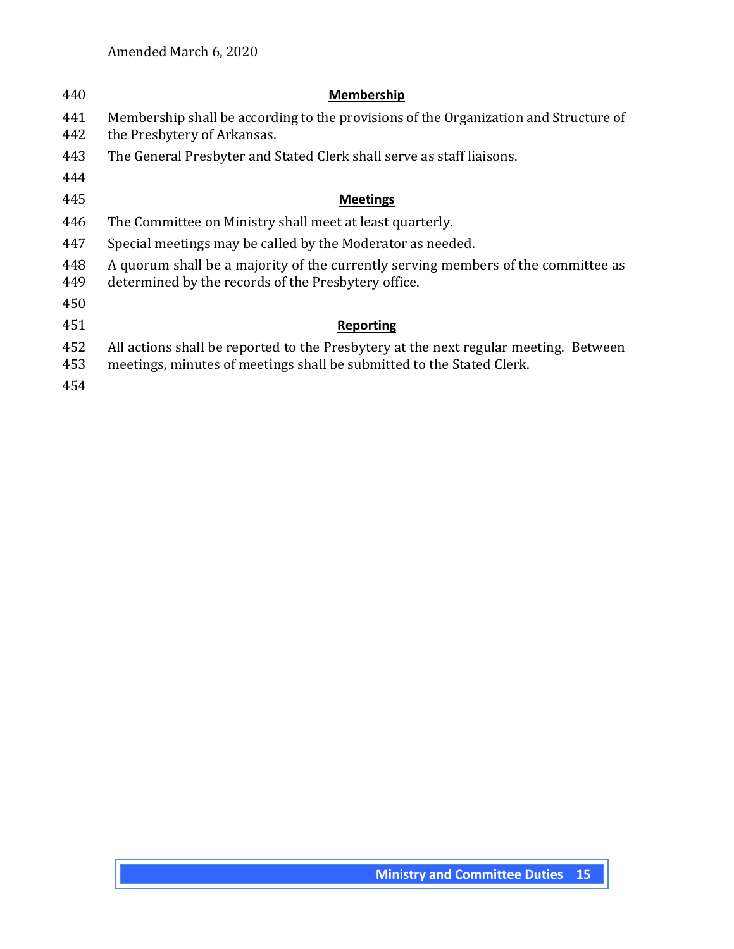| 440        | Membership                                                                                                                                                    |
|------------|---------------------------------------------------------------------------------------------------------------------------------------------------------------|
| 441<br>442 | Membership shall be according to the provisions of the Organization and Structure of<br>the Presbytery of Arkansas.                                           |
| 443        | The General Presbyter and Stated Clerk shall serve as staff liaisons.                                                                                         |
| 444        |                                                                                                                                                               |
| 445        | <b>Meetings</b>                                                                                                                                               |
| 446        | The Committee on Ministry shall meet at least quarterly.                                                                                                      |
| 447        | Special meetings may be called by the Moderator as needed.                                                                                                    |
| 448<br>449 | A quorum shall be a majority of the currently serving members of the committee as<br>determined by the records of the Presbytery office.                      |
| 450        |                                                                                                                                                               |
| 451        | Reporting                                                                                                                                                     |
| 452<br>453 | All actions shall be reported to the Presbytery at the next regular meeting. Between<br>meetings, minutes of meetings shall be submitted to the Stated Clerk. |
| 454        |                                                                                                                                                               |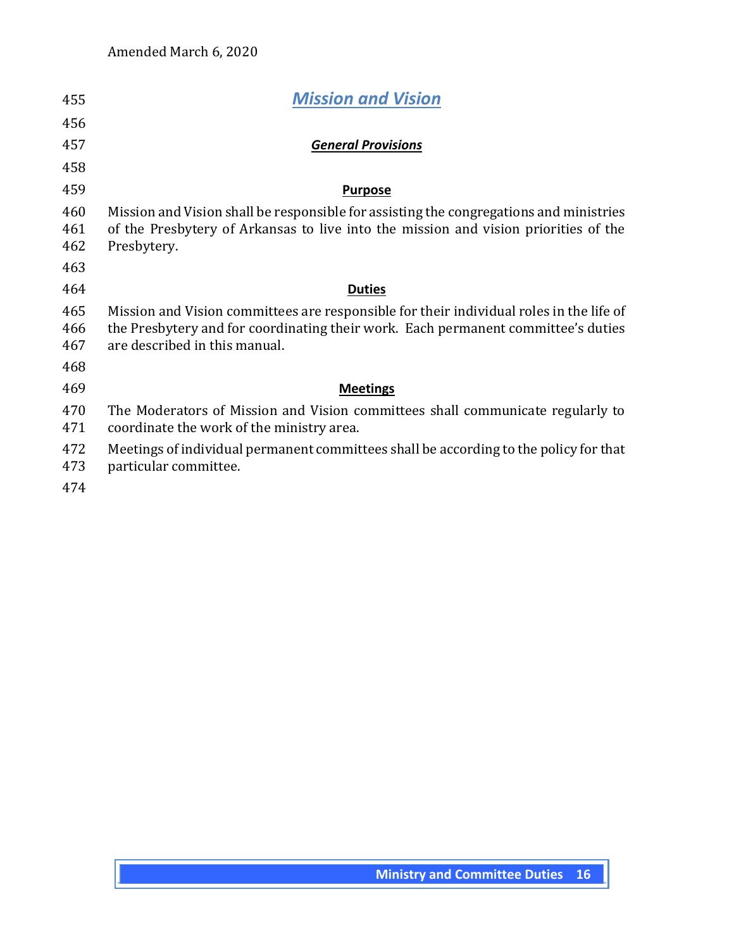| 455               | <b>Mission and Vision</b>                                                                                                                                                                                     |
|-------------------|---------------------------------------------------------------------------------------------------------------------------------------------------------------------------------------------------------------|
| 456               |                                                                                                                                                                                                               |
| 457               | <b>General Provisions</b>                                                                                                                                                                                     |
| 458               |                                                                                                                                                                                                               |
| 459               | <b>Purpose</b>                                                                                                                                                                                                |
| 460<br>461<br>462 | Mission and Vision shall be responsible for assisting the congregations and ministries<br>of the Presbytery of Arkansas to live into the mission and vision priorities of the<br>Presbytery.                  |
| 463               |                                                                                                                                                                                                               |
| 464               | <b>Duties</b>                                                                                                                                                                                                 |
| 465<br>466<br>467 | Mission and Vision committees are responsible for their individual roles in the life of<br>the Presbytery and for coordinating their work. Each permanent committee's duties<br>are described in this manual. |
| 468               |                                                                                                                                                                                                               |
| 469               | <b>Meetings</b>                                                                                                                                                                                               |
| 470<br>471        | The Moderators of Mission and Vision committees shall communicate regularly to<br>coordinate the work of the ministry area.                                                                                   |
| 472<br>473        | Meetings of individual permanent committees shall be according to the policy for that<br>particular committee.                                                                                                |
| 474               |                                                                                                                                                                                                               |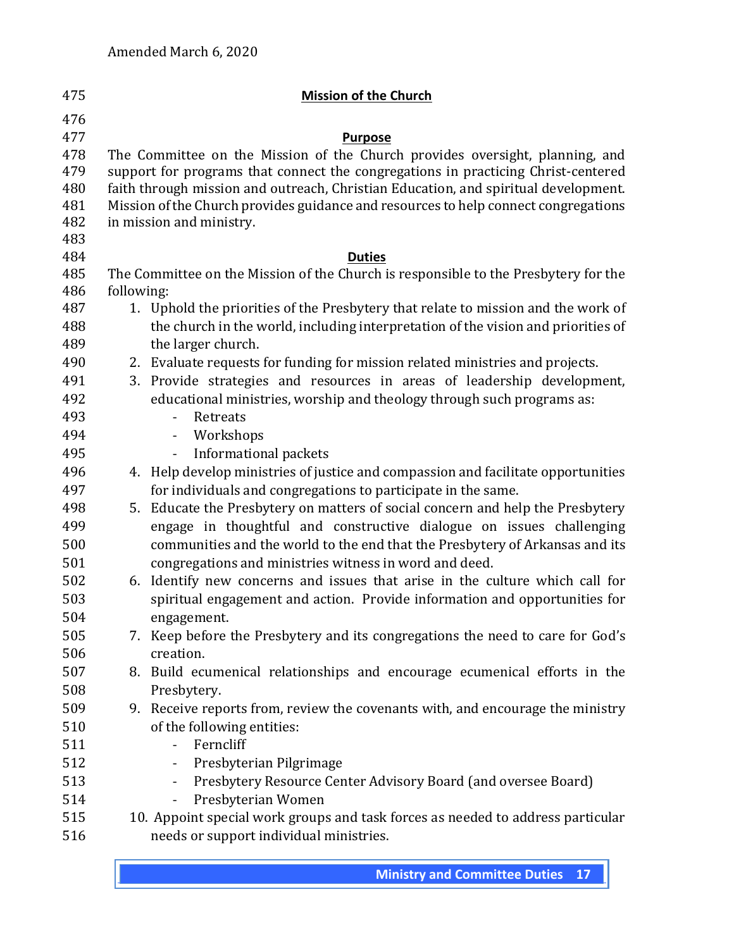| 475 |            | <b>Mission of the Church</b>                                                        |
|-----|------------|-------------------------------------------------------------------------------------|
| 476 |            |                                                                                     |
| 477 |            | <b>Purpose</b>                                                                      |
| 478 |            | The Committee on the Mission of the Church provides oversight, planning, and        |
| 479 |            | support for programs that connect the congregations in practicing Christ-centered   |
| 480 |            | faith through mission and outreach, Christian Education, and spiritual development. |
| 481 |            | Mission of the Church provides guidance and resources to help connect congregations |
| 482 |            | in mission and ministry.                                                            |
| 483 |            |                                                                                     |
| 484 |            | <b>Duties</b>                                                                       |
| 485 |            | The Committee on the Mission of the Church is responsible to the Presbytery for the |
| 486 | following: |                                                                                     |
| 487 |            | 1. Uphold the priorities of the Presbytery that relate to mission and the work of   |
| 488 |            | the church in the world, including interpretation of the vision and priorities of   |
| 489 |            | the larger church.                                                                  |
| 490 |            | 2. Evaluate requests for funding for mission related ministries and projects.       |
| 491 | 3.         | Provide strategies and resources in areas of leadership development,                |
| 492 |            | educational ministries, worship and theology through such programs as:              |
| 493 |            | Retreats                                                                            |
| 494 |            | Workshops                                                                           |
| 495 |            | Informational packets                                                               |
| 496 |            | 4. Help develop ministries of justice and compassion and facilitate opportunities   |
| 497 |            | for individuals and congregations to participate in the same.                       |
| 498 | 5.         | Educate the Presbytery on matters of social concern and help the Presbytery         |
| 499 |            | engage in thoughtful and constructive dialogue on issues challenging                |
| 500 |            | communities and the world to the end that the Presbytery of Arkansas and its        |
| 501 |            | congregations and ministries witness in word and deed.                              |
| 502 |            | 6. Identify new concerns and issues that arise in the culture which call for        |
| 503 |            | spiritual engagement and action. Provide information and opportunities for          |
| 504 |            | engagement.                                                                         |
| 505 |            | 7. Keep before the Presbytery and its congregations the need to care for God's      |
| 506 |            | creation.                                                                           |
| 507 |            | 8. Build ecumenical relationships and encourage ecumenical efforts in the           |
| 508 |            | Presbytery.                                                                         |
| 509 |            | 9. Receive reports from, review the covenants with, and encourage the ministry      |
| 510 |            | of the following entities:                                                          |
| 511 |            | Ferncliff                                                                           |
| 512 |            | Presbyterian Pilgrimage                                                             |
| 513 |            | Presbytery Resource Center Advisory Board (and oversee Board)<br>$\blacksquare$     |
| 514 |            | Presbyterian Women                                                                  |
| 515 |            | 10. Appoint special work groups and task forces as needed to address particular     |
| 516 |            | needs or support individual ministries.                                             |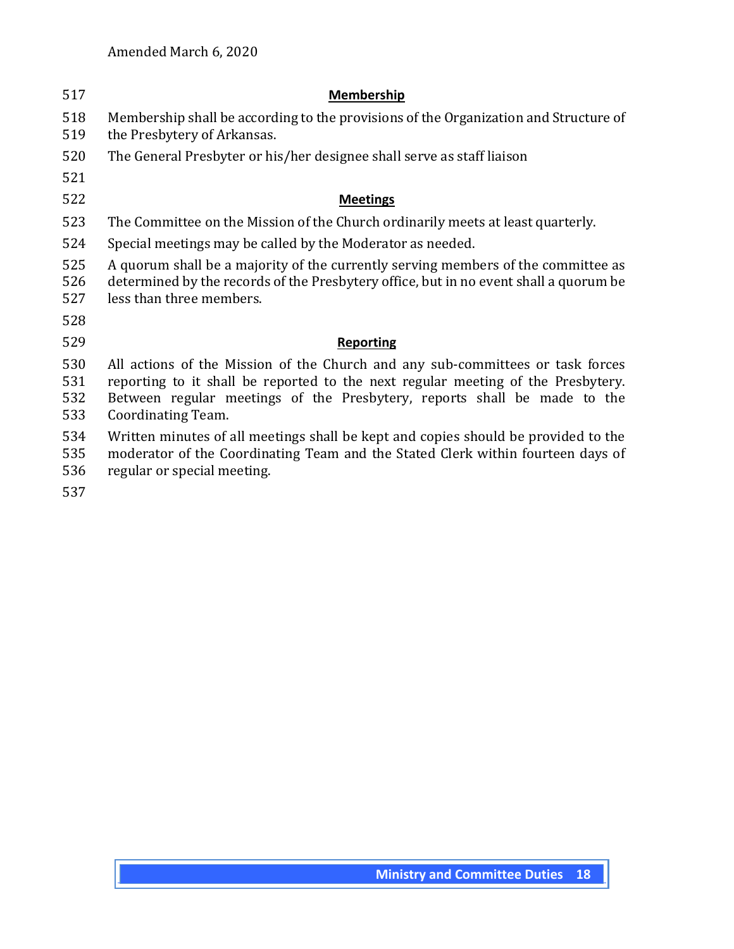| 517                      | Membership                                                                                                                                                                                                                                                           |
|--------------------------|----------------------------------------------------------------------------------------------------------------------------------------------------------------------------------------------------------------------------------------------------------------------|
| 518<br>519               | Membership shall be according to the provisions of the Organization and Structure of<br>the Presbytery of Arkansas.                                                                                                                                                  |
| 520                      | The General Presbyter or his/her designee shall serve as staff liaison                                                                                                                                                                                               |
| 521                      |                                                                                                                                                                                                                                                                      |
| 522                      | <b>Meetings</b>                                                                                                                                                                                                                                                      |
| 523                      | The Committee on the Mission of the Church ordinarily meets at least quarterly.                                                                                                                                                                                      |
| 524                      | Special meetings may be called by the Moderator as needed.                                                                                                                                                                                                           |
| 525<br>526<br>527        | A quorum shall be a majority of the currently serving members of the committee as<br>determined by the records of the Presbytery office, but in no event shall a quorum be<br>less than three members.                                                               |
| 528                      |                                                                                                                                                                                                                                                                      |
| 529                      | <b>Reporting</b>                                                                                                                                                                                                                                                     |
| 530<br>531<br>532<br>533 | All actions of the Mission of the Church and any sub-committees or task forces<br>reporting to it shall be reported to the next regular meeting of the Presbytery.<br>Between regular meetings of the Presbytery, reports shall be made to the<br>Coordinating Team. |
| 534<br>535<br>536<br>537 | Written minutes of all meetings shall be kept and copies should be provided to the<br>moderator of the Coordinating Team and the Stated Clerk within fourteen days of<br>regular or special meeting.                                                                 |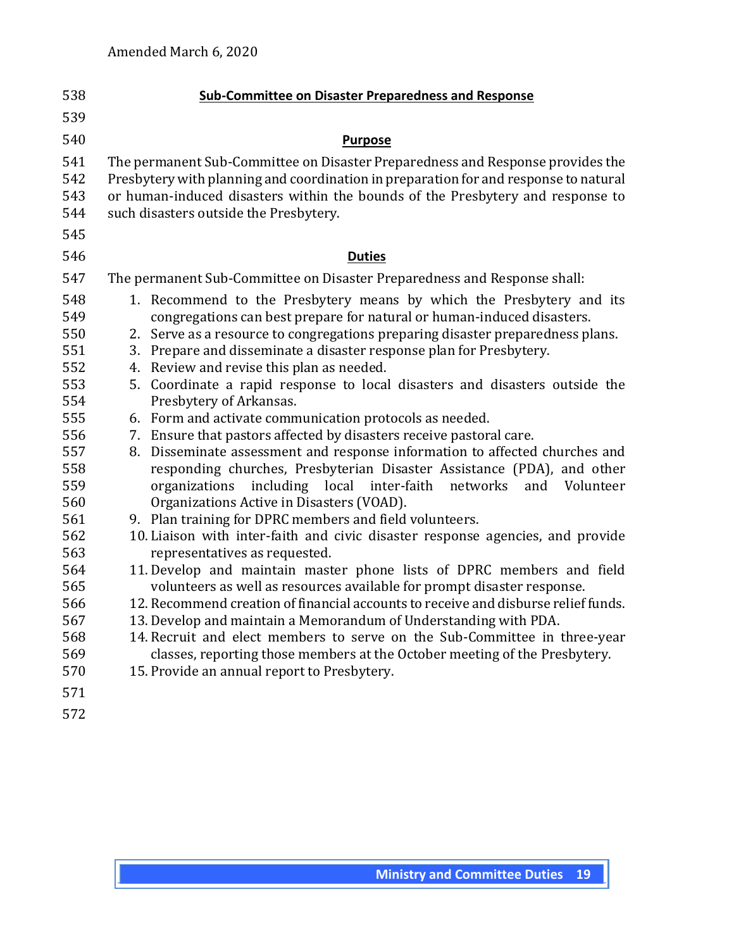| 538                                                                | <b>Sub-Committee on Disaster Preparedness and Response</b>                                                                                                                                                                                                                                                                                                                                                                                                                                                                                                                                                                                                                                           |
|--------------------------------------------------------------------|------------------------------------------------------------------------------------------------------------------------------------------------------------------------------------------------------------------------------------------------------------------------------------------------------------------------------------------------------------------------------------------------------------------------------------------------------------------------------------------------------------------------------------------------------------------------------------------------------------------------------------------------------------------------------------------------------|
| 539                                                                |                                                                                                                                                                                                                                                                                                                                                                                                                                                                                                                                                                                                                                                                                                      |
| 540                                                                | <b>Purpose</b>                                                                                                                                                                                                                                                                                                                                                                                                                                                                                                                                                                                                                                                                                       |
| 541<br>542<br>543<br>544<br>545                                    | The permanent Sub-Committee on Disaster Preparedness and Response provides the<br>Presbytery with planning and coordination in preparation for and response to natural<br>or human-induced disasters within the bounds of the Presbytery and response to<br>such disasters outside the Presbytery.                                                                                                                                                                                                                                                                                                                                                                                                   |
| 546                                                                | <b>Duties</b>                                                                                                                                                                                                                                                                                                                                                                                                                                                                                                                                                                                                                                                                                        |
| 547                                                                | The permanent Sub-Committee on Disaster Preparedness and Response shall:                                                                                                                                                                                                                                                                                                                                                                                                                                                                                                                                                                                                                             |
| 548<br>549<br>550<br>551<br>552<br>553<br>554<br>555               | 1. Recommend to the Presbytery means by which the Presbytery and its<br>congregations can best prepare for natural or human-induced disasters.<br>Serve as a resource to congregations preparing disaster preparedness plans.<br>2.<br>Prepare and disseminate a disaster response plan for Presbytery.<br>3.<br>Review and revise this plan as needed.<br>4.<br>5. Coordinate a rapid response to local disasters and disasters outside the<br>Presbytery of Arkansas.<br>6. Form and activate communication protocols as needed.                                                                                                                                                                   |
| 556<br>557<br>558<br>559<br>560<br>561<br>562<br>563<br>564<br>565 | Ensure that pastors affected by disasters receive pastoral care.<br>7.<br>Disseminate assessment and response information to affected churches and<br>8.<br>responding churches, Presbyterian Disaster Assistance (PDA), and other<br>including local<br>inter-faith<br>networks<br>organizations<br>and<br>Volunteer<br>Organizations Active in Disasters (VOAD).<br>9. Plan training for DPRC members and field volunteers.<br>10. Liaison with inter-faith and civic disaster response agencies, and provide<br>representatives as requested.<br>11. Develop and maintain master phone lists of DPRC members and field<br>volunteers as well as resources available for prompt disaster response. |
| 566<br>567<br>568<br>569<br>570<br>571<br>572                      | 12. Recommend creation of financial accounts to receive and disburse relief funds.<br>13. Develop and maintain a Memorandum of Understanding with PDA.<br>14. Recruit and elect members to serve on the Sub-Committee in three-year<br>classes, reporting those members at the October meeting of the Presbytery.<br>15. Provide an annual report to Presbytery.                                                                                                                                                                                                                                                                                                                                     |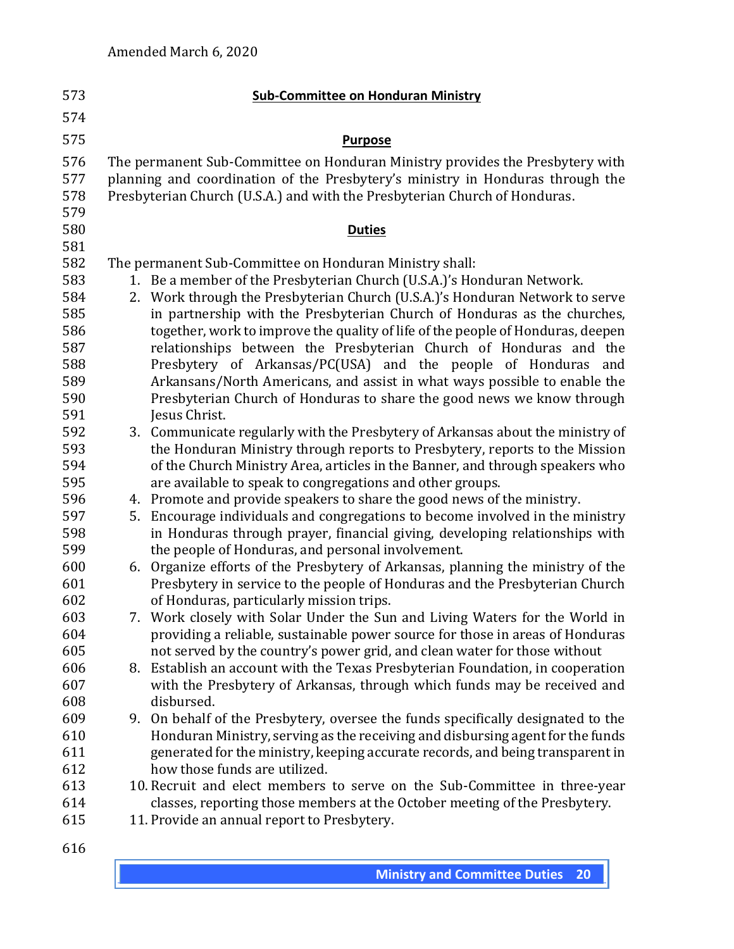| 573                                                                                                                               | <b>Sub-Committee on Honduran Ministry</b>                                                                                                                                                                                                                                                                                                                                                                                                                                                                                                                                                                                                                                                                                                                                                                                                                                                                                                                                                                                                                                                                                                                                                                                                                                                                        |
|-----------------------------------------------------------------------------------------------------------------------------------|------------------------------------------------------------------------------------------------------------------------------------------------------------------------------------------------------------------------------------------------------------------------------------------------------------------------------------------------------------------------------------------------------------------------------------------------------------------------------------------------------------------------------------------------------------------------------------------------------------------------------------------------------------------------------------------------------------------------------------------------------------------------------------------------------------------------------------------------------------------------------------------------------------------------------------------------------------------------------------------------------------------------------------------------------------------------------------------------------------------------------------------------------------------------------------------------------------------------------------------------------------------------------------------------------------------|
| 574                                                                                                                               |                                                                                                                                                                                                                                                                                                                                                                                                                                                                                                                                                                                                                                                                                                                                                                                                                                                                                                                                                                                                                                                                                                                                                                                                                                                                                                                  |
| 575                                                                                                                               | <b>Purpose</b>                                                                                                                                                                                                                                                                                                                                                                                                                                                                                                                                                                                                                                                                                                                                                                                                                                                                                                                                                                                                                                                                                                                                                                                                                                                                                                   |
| 576<br>577<br>578<br>579                                                                                                          | The permanent Sub-Committee on Honduran Ministry provides the Presbytery with<br>planning and coordination of the Presbytery's ministry in Honduras through the<br>Presbyterian Church (U.S.A.) and with the Presbyterian Church of Honduras.                                                                                                                                                                                                                                                                                                                                                                                                                                                                                                                                                                                                                                                                                                                                                                                                                                                                                                                                                                                                                                                                    |
| 580                                                                                                                               | <b>Duties</b>                                                                                                                                                                                                                                                                                                                                                                                                                                                                                                                                                                                                                                                                                                                                                                                                                                                                                                                                                                                                                                                                                                                                                                                                                                                                                                    |
| 581<br>582<br>583<br>584<br>585<br>586<br>587<br>588<br>589<br>590<br>591<br>592<br>593<br>594<br>595<br>596<br>597<br>598<br>599 | The permanent Sub-Committee on Honduran Ministry shall:<br>1. Be a member of the Presbyterian Church (U.S.A.)'s Honduran Network.<br>2. Work through the Presbyterian Church (U.S.A.)'s Honduran Network to serve<br>in partnership with the Presbyterian Church of Honduras as the churches,<br>together, work to improve the quality of life of the people of Honduras, deepen<br>relationships between the Presbyterian Church of Honduras and the<br>Presbytery of Arkansas/PC(USA) and the people of Honduras and<br>Arkansans/North Americans, and assist in what ways possible to enable the<br>Presbyterian Church of Honduras to share the good news we know through<br>Jesus Christ.<br>3. Communicate regularly with the Presbytery of Arkansas about the ministry of<br>the Honduran Ministry through reports to Presbytery, reports to the Mission<br>of the Church Ministry Area, articles in the Banner, and through speakers who<br>are available to speak to congregations and other groups.<br>4. Promote and provide speakers to share the good news of the ministry.<br>Encourage individuals and congregations to become involved in the ministry<br>5.<br>in Honduras through prayer, financial giving, developing relationships with<br>the people of Honduras, and personal involvement. |
| 600<br>601<br>602<br>603<br>604<br>605<br>606                                                                                     | 6. Organize efforts of the Presbytery of Arkansas, planning the ministry of the<br>Presbytery in service to the people of Honduras and the Presbyterian Church<br>of Honduras, particularly mission trips.<br>7. Work closely with Solar Under the Sun and Living Waters for the World in<br>providing a reliable, sustainable power source for those in areas of Honduras<br>not served by the country's power grid, and clean water for those without<br>8. Establish an account with the Texas Presbyterian Foundation, in cooperation                                                                                                                                                                                                                                                                                                                                                                                                                                                                                                                                                                                                                                                                                                                                                                        |
| 607<br>608<br>609<br>610<br>611                                                                                                   | with the Presbytery of Arkansas, through which funds may be received and<br>disbursed.<br>On behalf of the Presbytery, oversee the funds specifically designated to the<br>9.<br>Honduran Ministry, serving as the receiving and disbursing agent for the funds<br>generated for the ministry, keeping accurate records, and being transparent in                                                                                                                                                                                                                                                                                                                                                                                                                                                                                                                                                                                                                                                                                                                                                                                                                                                                                                                                                                |
| 612<br>613<br>614<br>615<br>616                                                                                                   | how those funds are utilized.<br>10. Recruit and elect members to serve on the Sub-Committee in three-year<br>classes, reporting those members at the October meeting of the Presbytery.<br>11. Provide an annual report to Presbytery.                                                                                                                                                                                                                                                                                                                                                                                                                                                                                                                                                                                                                                                                                                                                                                                                                                                                                                                                                                                                                                                                          |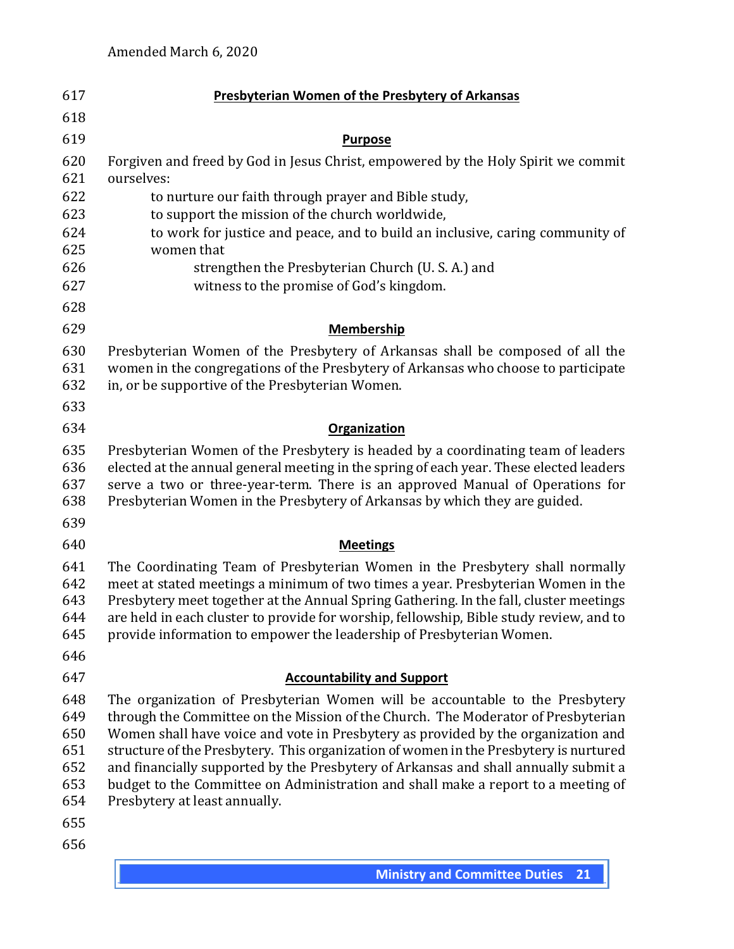| 617                                                  | <b>Presbyterian Women of the Presbytery of Arkansas</b>                                                                                                                                                                                                                                                                                                                                                                                                                                                                                                      |
|------------------------------------------------------|--------------------------------------------------------------------------------------------------------------------------------------------------------------------------------------------------------------------------------------------------------------------------------------------------------------------------------------------------------------------------------------------------------------------------------------------------------------------------------------------------------------------------------------------------------------|
| 618                                                  |                                                                                                                                                                                                                                                                                                                                                                                                                                                                                                                                                              |
| 619                                                  | <b>Purpose</b>                                                                                                                                                                                                                                                                                                                                                                                                                                                                                                                                               |
| 620<br>621                                           | Forgiven and freed by God in Jesus Christ, empowered by the Holy Spirit we commit<br>ourselves:                                                                                                                                                                                                                                                                                                                                                                                                                                                              |
| 622                                                  | to nurture our faith through prayer and Bible study,                                                                                                                                                                                                                                                                                                                                                                                                                                                                                                         |
| 623                                                  | to support the mission of the church worldwide,                                                                                                                                                                                                                                                                                                                                                                                                                                                                                                              |
| 624                                                  | to work for justice and peace, and to build an inclusive, caring community of                                                                                                                                                                                                                                                                                                                                                                                                                                                                                |
| 625<br>626                                           | women that                                                                                                                                                                                                                                                                                                                                                                                                                                                                                                                                                   |
| 627                                                  | strengthen the Presbyterian Church (U. S. A.) and<br>witness to the promise of God's kingdom.                                                                                                                                                                                                                                                                                                                                                                                                                                                                |
|                                                      |                                                                                                                                                                                                                                                                                                                                                                                                                                                                                                                                                              |
| 628                                                  |                                                                                                                                                                                                                                                                                                                                                                                                                                                                                                                                                              |
| 629                                                  | <b>Membership</b>                                                                                                                                                                                                                                                                                                                                                                                                                                                                                                                                            |
| 630<br>631<br>632                                    | Presbyterian Women of the Presbytery of Arkansas shall be composed of all the<br>women in the congregations of the Presbytery of Arkansas who choose to participate<br>in, or be supportive of the Presbyterian Women.                                                                                                                                                                                                                                                                                                                                       |
| 633                                                  |                                                                                                                                                                                                                                                                                                                                                                                                                                                                                                                                                              |
| 634                                                  | <b>Organization</b>                                                                                                                                                                                                                                                                                                                                                                                                                                                                                                                                          |
| 635<br>636<br>637<br>638                             | Presbyterian Women of the Presbytery is headed by a coordinating team of leaders<br>elected at the annual general meeting in the spring of each year. These elected leaders<br>serve a two or three-year-term. There is an approved Manual of Operations for<br>Presbyterian Women in the Presbytery of Arkansas by which they are guided.                                                                                                                                                                                                                   |
| 639                                                  |                                                                                                                                                                                                                                                                                                                                                                                                                                                                                                                                                              |
| 640                                                  | <b>Meetings</b>                                                                                                                                                                                                                                                                                                                                                                                                                                                                                                                                              |
| 641<br>642<br>643<br>644<br>645                      | The Coordinating Team of Presbyterian Women in the Presbytery shall normally<br>meet at stated meetings a minimum of two times a year. Presbyterian Women in the<br>Presbytery meet together at the Annual Spring Gathering. In the fall, cluster meetings<br>are held in each cluster to provide for worship, fellowship, Bible study review, and to<br>provide information to empower the leadership of Presbyterian Women.                                                                                                                                |
| 646                                                  |                                                                                                                                                                                                                                                                                                                                                                                                                                                                                                                                                              |
| 647                                                  | <b>Accountability and Support</b>                                                                                                                                                                                                                                                                                                                                                                                                                                                                                                                            |
| 648<br>649<br>650<br>651<br>652<br>653<br>654<br>655 | The organization of Presbyterian Women will be accountable to the Presbytery<br>through the Committee on the Mission of the Church. The Moderator of Presbyterian<br>Women shall have voice and vote in Presbytery as provided by the organization and<br>structure of the Presbytery. This organization of women in the Presbytery is nurtured<br>and financially supported by the Presbytery of Arkansas and shall annually submit a<br>budget to the Committee on Administration and shall make a report to a meeting of<br>Presbytery at least annually. |
| 656                                                  |                                                                                                                                                                                                                                                                                                                                                                                                                                                                                                                                                              |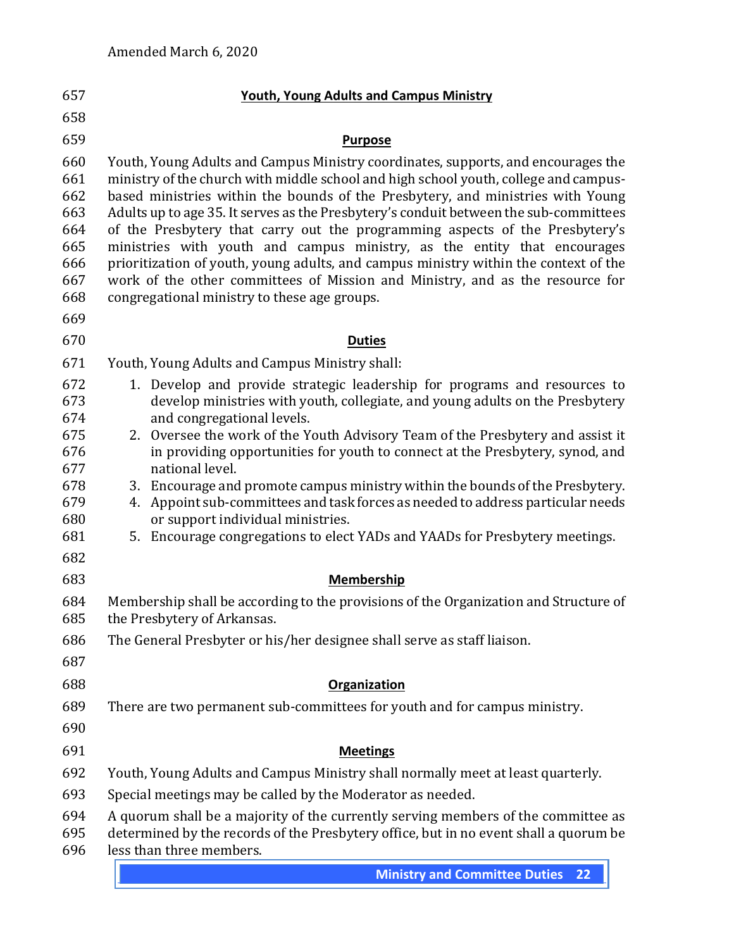| 657                                                                | <b>Youth, Young Adults and Campus Ministry</b>                                                                                                                                                                                                                                                                                                                                                                                                                                                                                                                                                                                                                                                                                             |
|--------------------------------------------------------------------|--------------------------------------------------------------------------------------------------------------------------------------------------------------------------------------------------------------------------------------------------------------------------------------------------------------------------------------------------------------------------------------------------------------------------------------------------------------------------------------------------------------------------------------------------------------------------------------------------------------------------------------------------------------------------------------------------------------------------------------------|
| 658                                                                |                                                                                                                                                                                                                                                                                                                                                                                                                                                                                                                                                                                                                                                                                                                                            |
| 659                                                                | <b>Purpose</b>                                                                                                                                                                                                                                                                                                                                                                                                                                                                                                                                                                                                                                                                                                                             |
| 660<br>661<br>662<br>663<br>664<br>665<br>666<br>667<br>668<br>669 | Youth, Young Adults and Campus Ministry coordinates, supports, and encourages the<br>ministry of the church with middle school and high school youth, college and campus-<br>based ministries within the bounds of the Presbytery, and ministries with Young<br>Adults up to age 35. It serves as the Presbytery's conduit between the sub-committees<br>of the Presbytery that carry out the programming aspects of the Presbytery's<br>ministries with youth and campus ministry, as the entity that encourages<br>prioritization of youth, young adults, and campus ministry within the context of the<br>work of the other committees of Mission and Ministry, and as the resource for<br>congregational ministry to these age groups. |
| 670                                                                | <b>Duties</b>                                                                                                                                                                                                                                                                                                                                                                                                                                                                                                                                                                                                                                                                                                                              |
| 671                                                                | Youth, Young Adults and Campus Ministry shall:                                                                                                                                                                                                                                                                                                                                                                                                                                                                                                                                                                                                                                                                                             |
| 672<br>673<br>674<br>675<br>676                                    | 1. Develop and provide strategic leadership for programs and resources to<br>develop ministries with youth, collegiate, and young adults on the Presbytery<br>and congregational levels.<br>2. Oversee the work of the Youth Advisory Team of the Presbytery and assist it<br>in providing opportunities for youth to connect at the Presbytery, synod, and                                                                                                                                                                                                                                                                                                                                                                                |
| 677<br>678<br>679<br>680<br>681                                    | national level.<br>3. Encourage and promote campus ministry within the bounds of the Presbytery.<br>Appoint sub-committees and task forces as needed to address particular needs<br>4.<br>or support individual ministries.<br>5. Encourage congregations to elect YADs and YAADs for Presbytery meetings.                                                                                                                                                                                                                                                                                                                                                                                                                                 |
| 682                                                                |                                                                                                                                                                                                                                                                                                                                                                                                                                                                                                                                                                                                                                                                                                                                            |
| 683                                                                | <b>Membership</b>                                                                                                                                                                                                                                                                                                                                                                                                                                                                                                                                                                                                                                                                                                                          |
| 684<br>685                                                         | Membership shall be according to the provisions of the Organization and Structure of<br>the Presbytery of Arkansas                                                                                                                                                                                                                                                                                                                                                                                                                                                                                                                                                                                                                         |
| 686<br>687                                                         | The General Presbyter or his/her designee shall serve as staff liaison.                                                                                                                                                                                                                                                                                                                                                                                                                                                                                                                                                                                                                                                                    |
| 688                                                                | Organization                                                                                                                                                                                                                                                                                                                                                                                                                                                                                                                                                                                                                                                                                                                               |
| 689<br>690                                                         | There are two permanent sub-committees for youth and for campus ministry.                                                                                                                                                                                                                                                                                                                                                                                                                                                                                                                                                                                                                                                                  |
| 691                                                                | <b>Meetings</b>                                                                                                                                                                                                                                                                                                                                                                                                                                                                                                                                                                                                                                                                                                                            |
| 692                                                                | Youth, Young Adults and Campus Ministry shall normally meet at least quarterly.                                                                                                                                                                                                                                                                                                                                                                                                                                                                                                                                                                                                                                                            |
| 693                                                                | Special meetings may be called by the Moderator as needed.                                                                                                                                                                                                                                                                                                                                                                                                                                                                                                                                                                                                                                                                                 |
| 694<br>695<br>696                                                  | A quorum shall be a majority of the currently serving members of the committee as<br>determined by the records of the Presbytery office, but in no event shall a quorum be<br>less than three members.                                                                                                                                                                                                                                                                                                                                                                                                                                                                                                                                     |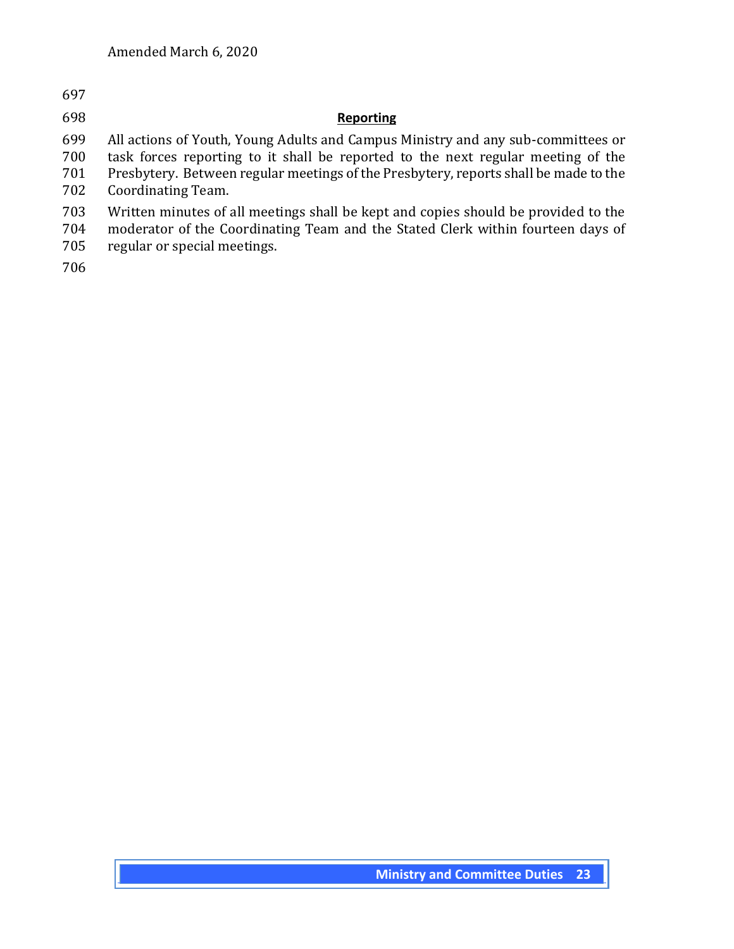## **Reporting**

 All actions of Youth, Young Adults and Campus Ministry and any sub-committees or task forces reporting to it shall be reported to the next regular meeting of the

 Presbytery. Between regular meetings of the Presbytery, reports shall be made to the Coordinating Team.

- 
- Written minutes of all meetings shall be kept and copies should be provided to the
- moderator of the Coordinating Team and the Stated Clerk within fourteen days of regular or special meetings.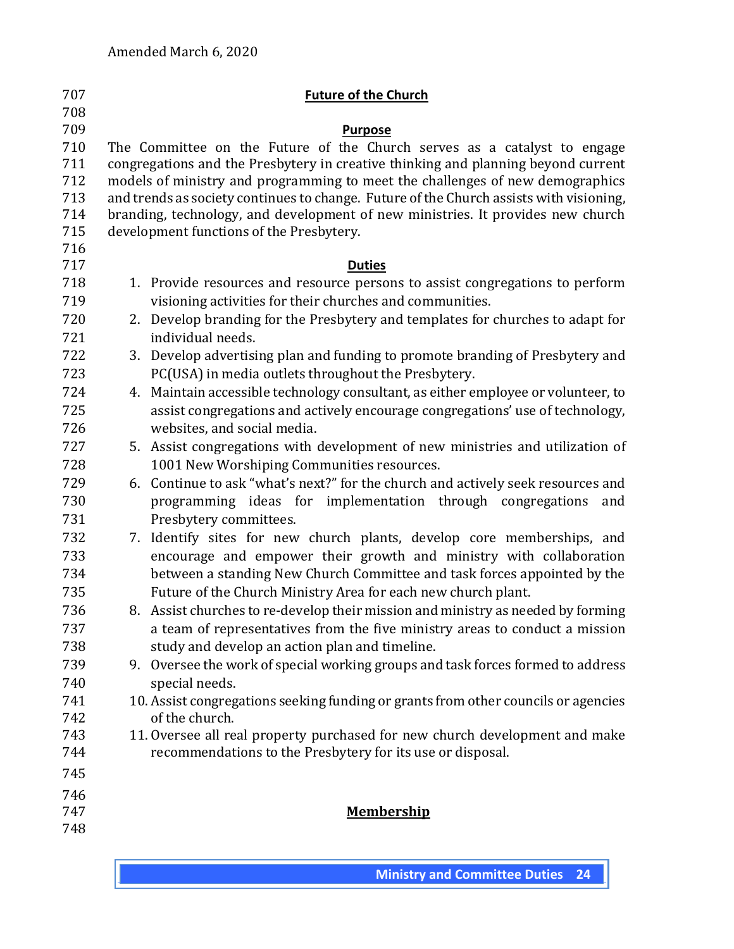| 707        |    | <b>Future of the Church</b>                                                                      |
|------------|----|--------------------------------------------------------------------------------------------------|
| 708<br>709 |    | <b>Purpose</b>                                                                                   |
| 710        |    | The Committee on the Future of the Church serves as a catalyst to engage                         |
| 711        |    | congregations and the Presbytery in creative thinking and planning beyond current                |
| 712        |    | models of ministry and programming to meet the challenges of new demographics                    |
| 713        |    | and trends as society continues to change. Future of the Church assists with visioning,          |
| 714        |    | branding, technology, and development of new ministries. It provides new church                  |
| 715        |    | development functions of the Presbytery.                                                         |
| 716        |    |                                                                                                  |
| 717        |    | <b>Duties</b>                                                                                    |
| 718        |    | 1. Provide resources and resource persons to assist congregations to perform                     |
| 719        |    | visioning activities for their churches and communities.                                         |
| 720<br>721 | 2. | Develop branding for the Presbytery and templates for churches to adapt for<br>individual needs. |
| 722        |    | 3. Develop advertising plan and funding to promote branding of Presbytery and                    |
| 723        |    | PC(USA) in media outlets throughout the Presbytery.                                              |
| 724        | 4. | Maintain accessible technology consultant, as either employee or volunteer, to                   |
| 725        |    | assist congregations and actively encourage congregations' use of technology,                    |
| 726        |    | websites, and social media.                                                                      |
| 727        |    | 5. Assist congregations with development of new ministries and utilization of                    |
| 728        |    | 1001 New Worshiping Communities resources.                                                       |
| 729        |    | 6. Continue to ask "what's next?" for the church and actively seek resources and                 |
| 730        |    | programming ideas for implementation through congregations<br>and                                |
| 731        |    | Presbytery committees.                                                                           |
| 732        | 7. | Identify sites for new church plants, develop core memberships, and                              |
| 733        |    | encourage and empower their growth and ministry with collaboration                               |
| 734        |    | between a standing New Church Committee and task forces appointed by the                         |
| 735        |    | Future of the Church Ministry Area for each new church plant.                                    |
| 736        |    | 8. Assist churches to re-develop their mission and ministry as needed by forming                 |
| 737        |    | a team of representatives from the five ministry areas to conduct a mission                      |
| 738        |    | study and develop an action plan and timeline.                                                   |
| 739        |    | 9. Oversee the work of special working groups and task forces formed to address                  |
| 740        |    | special needs.                                                                                   |
| 741        |    | 10. Assist congregations seeking funding or grants from other councils or agencies               |
| 742        |    | of the church.                                                                                   |
| 743        |    | 11. Oversee all real property purchased for new church development and make                      |
| 744        |    | recommendations to the Presbytery for its use or disposal.                                       |
| 745        |    |                                                                                                  |
| 746        |    |                                                                                                  |
| 747        |    | <b>Membership</b>                                                                                |
| 748        |    |                                                                                                  |